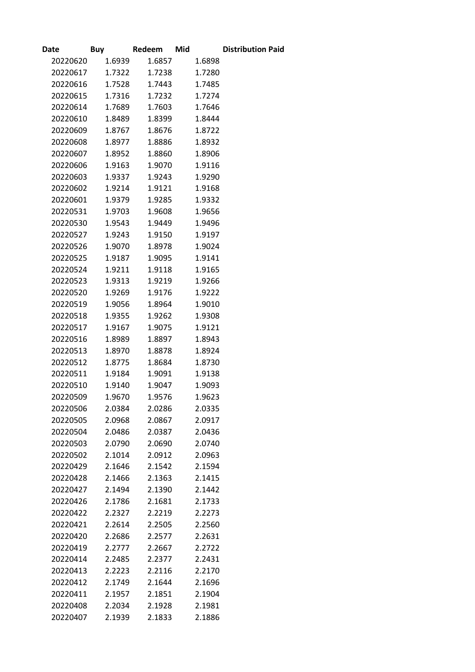| <b>Date</b> | Buy    | Redeem | Mid    | <b>Distribution Paid</b> |
|-------------|--------|--------|--------|--------------------------|
| 20220620    | 1.6939 | 1.6857 | 1.6898 |                          |
| 20220617    | 1.7322 | 1.7238 | 1.7280 |                          |
| 20220616    | 1.7528 | 1.7443 | 1.7485 |                          |
| 20220615    | 1.7316 | 1.7232 | 1.7274 |                          |
| 20220614    | 1.7689 | 1.7603 | 1.7646 |                          |
| 20220610    | 1.8489 | 1.8399 | 1.8444 |                          |
| 20220609    | 1.8767 | 1.8676 | 1.8722 |                          |
| 20220608    | 1.8977 | 1.8886 | 1.8932 |                          |
| 20220607    | 1.8952 | 1.8860 | 1.8906 |                          |
| 20220606    | 1.9163 | 1.9070 | 1.9116 |                          |
| 20220603    | 1.9337 | 1.9243 | 1.9290 |                          |
| 20220602    | 1.9214 | 1.9121 | 1.9168 |                          |
| 20220601    | 1.9379 | 1.9285 | 1.9332 |                          |
| 20220531    | 1.9703 | 1.9608 | 1.9656 |                          |
| 20220530    | 1.9543 | 1.9449 | 1.9496 |                          |
| 20220527    | 1.9243 | 1.9150 | 1.9197 |                          |
| 20220526    | 1.9070 | 1.8978 | 1.9024 |                          |
| 20220525    | 1.9187 | 1.9095 | 1.9141 |                          |
| 20220524    | 1.9211 | 1.9118 | 1.9165 |                          |
| 20220523    | 1.9313 | 1.9219 | 1.9266 |                          |
| 20220520    | 1.9269 | 1.9176 | 1.9222 |                          |
| 20220519    | 1.9056 | 1.8964 | 1.9010 |                          |
| 20220518    | 1.9355 | 1.9262 | 1.9308 |                          |
| 20220517    | 1.9167 | 1.9075 | 1.9121 |                          |
| 20220516    | 1.8989 | 1.8897 | 1.8943 |                          |
| 20220513    | 1.8970 | 1.8878 | 1.8924 |                          |
| 20220512    | 1.8775 | 1.8684 | 1.8730 |                          |
| 20220511    | 1.9184 | 1.9091 | 1.9138 |                          |
| 20220510    | 1.9140 | 1.9047 | 1.9093 |                          |
| 20220509    | 1.9670 | 1.9576 | 1.9623 |                          |
| 20220506    | 2.0384 | 2.0286 | 2.0335 |                          |
| 20220505    | 2.0968 | 2.0867 | 2.0917 |                          |
| 20220504    | 2.0486 | 2.0387 | 2.0436 |                          |
| 20220503    | 2.0790 | 2.0690 | 2.0740 |                          |
| 20220502    | 2.1014 | 2.0912 | 2.0963 |                          |
| 20220429    | 2.1646 | 2.1542 | 2.1594 |                          |
| 20220428    | 2.1466 | 2.1363 | 2.1415 |                          |
| 20220427    | 2.1494 | 2.1390 | 2.1442 |                          |
| 20220426    | 2.1786 | 2.1681 | 2.1733 |                          |
| 20220422    | 2.2327 | 2.2219 | 2.2273 |                          |
| 20220421    | 2.2614 | 2.2505 | 2.2560 |                          |
| 20220420    | 2.2686 | 2.2577 | 2.2631 |                          |
| 20220419    | 2.2777 | 2.2667 | 2.2722 |                          |
| 20220414    | 2.2485 | 2.2377 | 2.2431 |                          |
| 20220413    | 2.2223 | 2.2116 | 2.2170 |                          |
| 20220412    | 2.1749 | 2.1644 | 2.1696 |                          |
| 20220411    | 2.1957 | 2.1851 | 2.1904 |                          |
| 20220408    | 2.2034 | 2.1928 | 2.1981 |                          |
| 20220407    | 2.1939 | 2.1833 | 2.1886 |                          |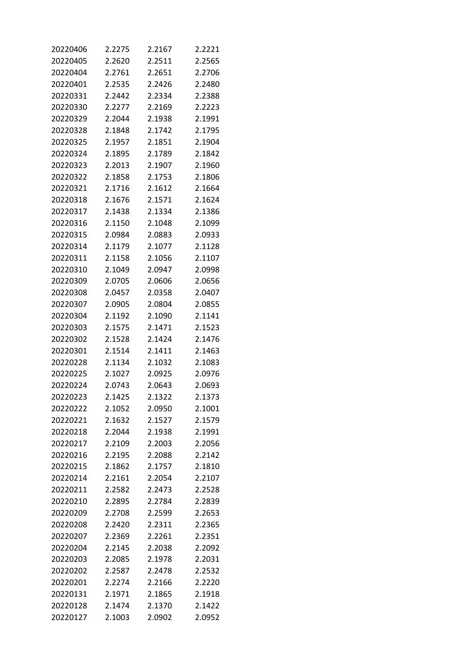| 20220406 | 2.2275 | 2.2167 | 2.2221 |
|----------|--------|--------|--------|
| 20220405 | 2.2620 | 2.2511 | 2.2565 |
| 20220404 | 2.2761 | 2.2651 | 2.2706 |
| 20220401 | 2.2535 | 2.2426 | 2.2480 |
| 20220331 | 2.2442 | 2.2334 | 2.2388 |
| 20220330 | 2.2277 | 2.2169 | 2.2223 |
| 20220329 | 2.2044 | 2.1938 | 2.1991 |
| 20220328 | 2.1848 | 2.1742 | 2.1795 |
| 20220325 | 2.1957 | 2.1851 | 2.1904 |
| 20220324 | 2.1895 | 2.1789 | 2.1842 |
| 20220323 | 2.2013 | 2.1907 | 2.1960 |
| 20220322 | 2.1858 | 2.1753 | 2.1806 |
| 20220321 | 2.1716 | 2.1612 | 2.1664 |
| 20220318 | 2.1676 | 2.1571 | 2.1624 |
| 20220317 | 2.1438 | 2.1334 | 2.1386 |
| 20220316 | 2.1150 | 2.1048 | 2.1099 |
| 20220315 | 2.0984 | 2.0883 | 2.0933 |
| 20220314 | 2.1179 | 2.1077 | 2.1128 |
| 20220311 | 2.1158 | 2.1056 | 2.1107 |
| 20220310 | 2.1049 | 2.0947 | 2.0998 |
| 20220309 | 2.0705 | 2.0606 | 2.0656 |
| 20220308 | 2.0457 | 2.0358 | 2.0407 |
| 20220307 | 2.0905 | 2.0804 | 2.0855 |
| 20220304 | 2.1192 | 2.1090 | 2.1141 |
| 20220303 | 2.1575 | 2.1471 | 2.1523 |
| 20220302 | 2.1528 | 2.1424 | 2.1476 |
| 20220301 | 2.1514 | 2.1411 | 2.1463 |
| 20220228 | 2.1134 | 2.1032 | 2.1083 |
| 20220225 | 2.1027 | 2.0925 | 2.0976 |
| 20220224 | 2.0743 | 2.0643 | 2.0693 |
| 20220223 | 2.1425 | 2.1322 | 2.1373 |
| 20220222 | 2.1052 | 2.0950 | 2.1001 |
| 20220221 | 2.1632 | 2.1527 | 2.1579 |
| 20220218 | 2.2044 | 2.1938 | 2.1991 |
| 20220217 | 2.2109 | 2.2003 | 2.2056 |
| 20220216 | 2.2195 | 2.2088 | 2.2142 |
| 20220215 | 2.1862 | 2.1757 | 2.1810 |
| 20220214 | 2.2161 | 2.2054 | 2.2107 |
| 20220211 | 2.2582 | 2.2473 | 2.2528 |
| 20220210 | 2.2895 | 2.2784 | 2.2839 |
| 20220209 | 2.2708 | 2.2599 | 2.2653 |
| 20220208 | 2.2420 | 2.2311 | 2.2365 |
| 20220207 | 2.2369 | 2.2261 | 2.2351 |
| 20220204 | 2.2145 | 2.2038 | 2.2092 |
| 20220203 | 2.2085 | 2.1978 | 2.2031 |
| 20220202 | 2.2587 | 2.2478 | 2.2532 |
| 20220201 | 2.2274 | 2.2166 | 2.2220 |
| 20220131 | 2.1971 | 2.1865 | 2.1918 |
| 20220128 | 2.1474 | 2.1370 | 2.1422 |
| 20220127 | 2.1003 | 2.0902 | 2.0952 |
|          |        |        |        |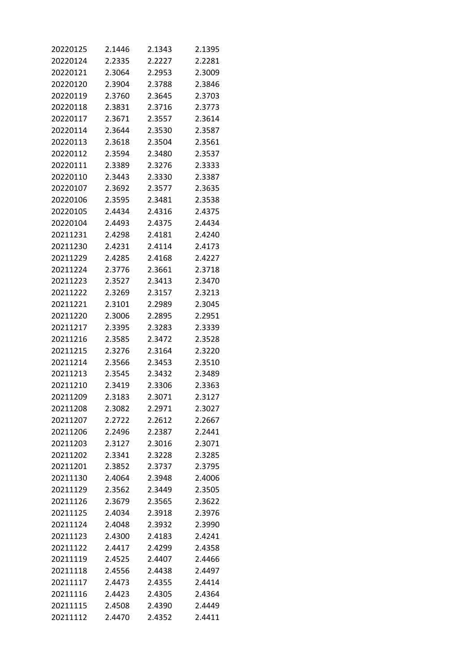| 20220125 | 2.1446           | 2.1343           | 2.1395           |
|----------|------------------|------------------|------------------|
| 20220124 | 2.2335           | 2.2227           | 2.2281           |
| 20220121 | 2.3064           | 2.2953           | 2.3009           |
| 20220120 | 2.3904           | 2.3788           | 2.3846           |
| 20220119 | 2.3760           | 2.3645           | 2.3703           |
| 20220118 | 2.3831           | 2.3716           | 2.3773           |
| 20220117 | 2.3671           | 2.3557           | 2.3614           |
| 20220114 | 2.3644           | 2.3530           | 2.3587           |
| 20220113 | 2.3618           | 2.3504           | 2.3561           |
| 20220112 | 2.3594           | 2.3480           | 2.3537           |
| 20220111 | 2.3389           | 2.3276           | 2.3333           |
| 20220110 | 2.3443           | 2.3330           | 2.3387           |
| 20220107 | 2.3692           | 2.3577           | 2.3635           |
| 20220106 | 2.3595           | 2.3481           | 2.3538           |
|          |                  |                  |                  |
| 20220105 | 2.4434<br>2.4493 | 2.4316           | 2.4375<br>2.4434 |
| 20220104 | 2.4298           | 2.4375<br>2.4181 |                  |
| 20211231 |                  |                  | 2.4240           |
| 20211230 | 2.4231           | 2.4114           | 2.4173           |
| 20211229 | 2.4285           | 2.4168           | 2.4227           |
| 20211224 | 2.3776           | 2.3661           | 2.3718           |
| 20211223 | 2.3527           | 2.3413           | 2.3470           |
| 20211222 | 2.3269           | 2.3157           | 2.3213           |
| 20211221 | 2.3101           | 2.2989           | 2.3045           |
| 20211220 | 2.3006           | 2.2895           | 2.2951           |
| 20211217 | 2.3395           | 2.3283           | 2.3339           |
| 20211216 | 2.3585           | 2.3472           | 2.3528           |
| 20211215 | 2.3276           | 2.3164           | 2.3220           |
| 20211214 | 2.3566           | 2.3453           | 2.3510           |
| 20211213 | 2.3545           | 2.3432           | 2.3489           |
| 20211210 | 2.3419           | 2.3306           | 2.3363           |
| 20211209 | 2.3183           | 2.3071           | 2.3127           |
| 20211208 | 2.3082           | 2.2971           | 2.3027           |
| 20211207 | 2.2722           | 2.2612           | 2.2667           |
| 20211206 | 2.2496           | 2.2387           | 2.2441           |
| 20211203 | 2.3127           | 2.3016           | 2.3071           |
| 20211202 | 2.3341           | 2.3228           | 2.3285           |
| 20211201 | 2.3852           | 2.3737           | 2.3795           |
| 20211130 | 2.4064           | 2.3948           | 2.4006           |
| 20211129 | 2.3562           | 2.3449           | 2.3505           |
| 20211126 | 2.3679           | 2.3565           | 2.3622           |
| 20211125 | 2.4034           | 2.3918           | 2.3976           |
| 20211124 | 2.4048           | 2.3932           | 2.3990           |
| 20211123 | 2.4300           | 2.4183           | 2.4241           |
| 20211122 | 2.4417           | 2.4299           | 2.4358           |
| 20211119 | 2.4525           | 2.4407           | 2.4466           |
| 20211118 | 2.4556           | 2.4438           | 2.4497           |
| 20211117 | 2.4473           | 2.4355           | 2.4414           |
| 20211116 | 2.4423           | 2.4305           | 2.4364           |
| 20211115 | 2.4508           | 2.4390           | 2.4449           |
| 20211112 | 2.4470           | 2.4352           | 2.4411           |
|          |                  |                  |                  |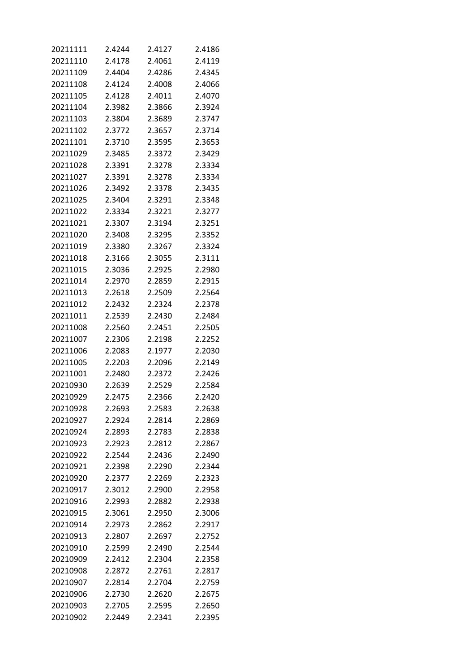| 20211111 | 2.4244 | 2.4127 | 2.4186 |
|----------|--------|--------|--------|
| 20211110 | 2.4178 | 2.4061 | 2.4119 |
| 20211109 | 2.4404 | 2.4286 | 2.4345 |
| 20211108 | 2.4124 | 2.4008 | 2.4066 |
| 20211105 | 2.4128 | 2.4011 | 2.4070 |
| 20211104 | 2.3982 | 2.3866 | 2.3924 |
| 20211103 | 2.3804 | 2.3689 | 2.3747 |
| 20211102 | 2.3772 | 2.3657 | 2.3714 |
| 20211101 | 2.3710 | 2.3595 | 2.3653 |
| 20211029 | 2.3485 | 2.3372 | 2.3429 |
| 20211028 | 2.3391 | 2.3278 | 2.3334 |
| 20211027 | 2.3391 | 2.3278 | 2.3334 |
| 20211026 | 2.3492 | 2.3378 | 2.3435 |
| 20211025 | 2.3404 | 2.3291 | 2.3348 |
| 20211022 | 2.3334 | 2.3221 | 2.3277 |
| 20211021 | 2.3307 | 2.3194 | 2.3251 |
| 20211020 | 2.3408 | 2.3295 | 2.3352 |
| 20211019 | 2.3380 | 2.3267 | 2.3324 |
| 20211018 | 2.3166 | 2.3055 | 2.3111 |
| 20211015 | 2.3036 | 2.2925 | 2.2980 |
| 20211014 | 2.2970 | 2.2859 | 2.2915 |
| 20211013 | 2.2618 | 2.2509 | 2.2564 |
| 20211012 | 2.2432 | 2.2324 | 2.2378 |
| 20211011 | 2.2539 | 2.2430 | 2.2484 |
| 20211008 | 2.2560 | 2.2451 | 2.2505 |
| 20211007 | 2.2306 | 2.2198 | 2.2252 |
| 20211006 | 2.2083 | 2.1977 | 2.2030 |
| 20211005 | 2.2203 | 2.2096 | 2.2149 |
| 20211001 | 2.2480 | 2.2372 | 2.2426 |
| 20210930 | 2.2639 | 2.2529 | 2.2584 |
| 20210929 | 2.2475 | 2.2366 | 2.2420 |
| 20210928 | 2.2693 | 2.2583 | 2.2638 |
| 20210927 | 2.2924 | 2.2814 | 2.2869 |
| 20210924 | 2.2893 | 2.2783 | 2.2838 |
| 20210923 | 2.2923 | 2.2812 | 2.2867 |
| 20210922 | 2.2544 | 2.2436 | 2.2490 |
| 20210921 | 2.2398 | 2.2290 | 2.2344 |
| 20210920 | 2.2377 | 2.2269 | 2.2323 |
| 20210917 | 2.3012 | 2.2900 | 2.2958 |
| 20210916 | 2.2993 | 2.2882 | 2.2938 |
| 20210915 | 2.3061 | 2.2950 | 2.3006 |
| 20210914 | 2.2973 | 2.2862 | 2.2917 |
| 20210913 | 2.2807 | 2.2697 | 2.2752 |
| 20210910 | 2.2599 | 2.2490 | 2.2544 |
| 20210909 | 2.2412 | 2.2304 | 2.2358 |
| 20210908 | 2.2872 | 2.2761 | 2.2817 |
| 20210907 | 2.2814 | 2.2704 | 2.2759 |
| 20210906 | 2.2730 | 2.2620 | 2.2675 |
| 20210903 | 2.2705 | 2.2595 | 2.2650 |
| 20210902 | 2.2449 | 2.2341 | 2.2395 |
|          |        |        |        |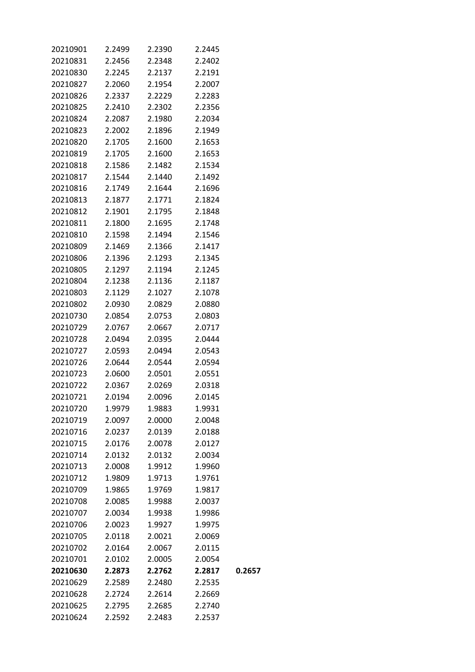| 20210901 | 2.2499 | 2.2390 | 2.2445 |        |
|----------|--------|--------|--------|--------|
| 20210831 | 2.2456 | 2.2348 | 2.2402 |        |
| 20210830 | 2.2245 | 2.2137 | 2.2191 |        |
| 20210827 | 2.2060 | 2.1954 | 2.2007 |        |
| 20210826 | 2.2337 | 2.2229 | 2.2283 |        |
| 20210825 | 2.2410 | 2.2302 | 2.2356 |        |
| 20210824 | 2.2087 | 2.1980 | 2.2034 |        |
| 20210823 | 2.2002 | 2.1896 | 2.1949 |        |
| 20210820 | 2.1705 | 2.1600 | 2.1653 |        |
| 20210819 | 2.1705 | 2.1600 | 2.1653 |        |
| 20210818 | 2.1586 | 2.1482 | 2.1534 |        |
| 20210817 | 2.1544 | 2.1440 | 2.1492 |        |
| 20210816 | 2.1749 | 2.1644 | 2.1696 |        |
| 20210813 | 2.1877 | 2.1771 | 2.1824 |        |
| 20210812 | 2.1901 | 2.1795 | 2.1848 |        |
| 20210811 | 2.1800 | 2.1695 | 2.1748 |        |
| 20210810 | 2.1598 | 2.1494 | 2.1546 |        |
| 20210809 | 2.1469 | 2.1366 | 2.1417 |        |
| 20210806 | 2.1396 | 2.1293 | 2.1345 |        |
| 20210805 | 2.1297 | 2.1194 | 2.1245 |        |
| 20210804 | 2.1238 | 2.1136 | 2.1187 |        |
| 20210803 | 2.1129 | 2.1027 | 2.1078 |        |
| 20210802 | 2.0930 | 2.0829 | 2.0880 |        |
| 20210730 | 2.0854 | 2.0753 | 2.0803 |        |
| 20210729 | 2.0767 | 2.0667 | 2.0717 |        |
| 20210728 | 2.0494 | 2.0395 | 2.0444 |        |
| 20210727 | 2.0593 | 2.0494 | 2.0543 |        |
|          | 2.0644 | 2.0544 |        |        |
| 20210726 |        |        | 2.0594 |        |
| 20210723 | 2.0600 | 2.0501 | 2.0551 |        |
| 20210722 | 2.0367 | 2.0269 | 2.0318 |        |
| 20210721 | 2.0194 | 2.0096 | 2.0145 |        |
| 20210720 | 1.9979 | 1.9883 | 1.9931 |        |
| 20210719 | 2.0097 | 2.0000 | 2.0048 |        |
| 20210716 | 2.0237 | 2.0139 | 2.0188 |        |
| 20210715 | 2.0176 | 2.0078 | 2.0127 |        |
| 20210714 | 2.0132 | 2.0132 | 2.0034 |        |
| 20210713 | 2.0008 | 1.9912 | 1.9960 |        |
| 20210712 | 1.9809 | 1.9713 | 1.9761 |        |
| 20210709 | 1.9865 | 1.9769 | 1.9817 |        |
| 20210708 | 2.0085 | 1.9988 | 2.0037 |        |
| 20210707 | 2.0034 | 1.9938 | 1.9986 |        |
| 20210706 | 2.0023 | 1.9927 | 1.9975 |        |
| 20210705 | 2.0118 | 2.0021 | 2.0069 |        |
| 20210702 | 2.0164 | 2.0067 | 2.0115 |        |
| 20210701 | 2.0102 | 2.0005 | 2.0054 |        |
| 20210630 | 2.2873 | 2.2762 | 2.2817 | 0.2657 |
| 20210629 | 2.2589 | 2.2480 | 2.2535 |        |
| 20210628 | 2.2724 | 2.2614 | 2.2669 |        |
| 20210625 | 2.2795 | 2.2685 | 2.2740 |        |
| 20210624 | 2.2592 | 2.2483 | 2.2537 |        |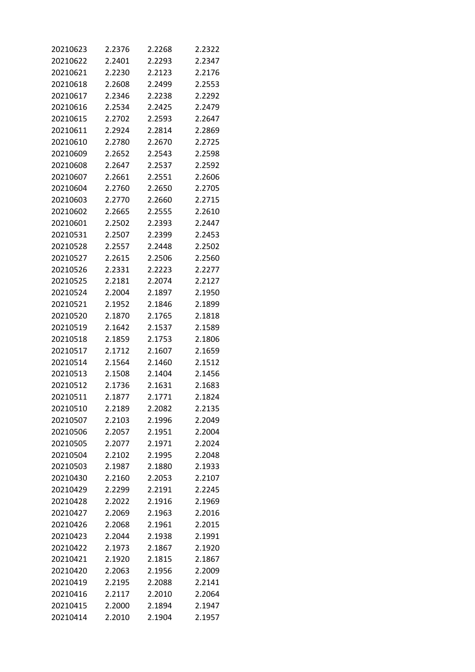| 20210623 | 2.2376 | 2.2268 | 2.2322 |
|----------|--------|--------|--------|
| 20210622 | 2.2401 | 2.2293 | 2.2347 |
| 20210621 | 2.2230 | 2.2123 | 2.2176 |
| 20210618 | 2.2608 | 2.2499 | 2.2553 |
| 20210617 | 2.2346 | 2.2238 | 2.2292 |
| 20210616 | 2.2534 | 2.2425 | 2.2479 |
| 20210615 | 2.2702 | 2.2593 | 2.2647 |
| 20210611 | 2.2924 | 2.2814 | 2.2869 |
| 20210610 | 2.2780 | 2.2670 | 2.2725 |
| 20210609 | 2.2652 | 2.2543 | 2.2598 |
| 20210608 | 2.2647 | 2.2537 | 2.2592 |
| 20210607 | 2.2661 | 2.2551 | 2.2606 |
| 20210604 | 2.2760 | 2.2650 | 2.2705 |
| 20210603 | 2.2770 | 2.2660 | 2.2715 |
| 20210602 | 2.2665 | 2.2555 | 2.2610 |
| 20210601 | 2.2502 | 2.2393 | 2.2447 |
| 20210531 | 2.2507 | 2.2399 | 2.2453 |
| 20210528 | 2.2557 | 2.2448 | 2.2502 |
| 20210527 | 2.2615 | 2.2506 | 2.2560 |
| 20210526 | 2.2331 | 2.2223 | 2.2277 |
| 20210525 | 2.2181 | 2.2074 | 2.2127 |
| 20210524 | 2.2004 | 2.1897 | 2.1950 |
| 20210521 | 2.1952 | 2.1846 | 2.1899 |
| 20210520 | 2.1870 | 2.1765 | 2.1818 |
| 20210519 | 2.1642 | 2.1537 | 2.1589 |
| 20210518 | 2.1859 | 2.1753 | 2.1806 |
| 20210517 | 2.1712 | 2.1607 | 2.1659 |
| 20210514 | 2.1564 | 2.1460 | 2.1512 |
| 20210513 | 2.1508 | 2.1404 | 2.1456 |
| 20210512 | 2.1736 | 2.1631 | 2.1683 |
| 20210511 | 2.1877 | 2.1771 | 2.1824 |
| 20210510 | 2.2189 | 2.2082 | 2.2135 |
| 20210507 | 2.2103 | 2.1996 | 2.2049 |
| 20210506 | 2.2057 | 2.1951 | 2.2004 |
| 20210505 | 2.2077 | 2.1971 | 2.2024 |
| 20210504 | 2.2102 | 2.1995 | 2.2048 |
| 20210503 | 2.1987 | 2.1880 | 2.1933 |
| 20210430 | 2.2160 | 2.2053 | 2.2107 |
| 20210429 | 2.2299 | 2.2191 | 2.2245 |
| 20210428 | 2.2022 | 2.1916 | 2.1969 |
| 20210427 | 2.2069 | 2.1963 | 2.2016 |
| 20210426 | 2.2068 | 2.1961 | 2.2015 |
| 20210423 | 2.2044 | 2.1938 | 2.1991 |
| 20210422 | 2.1973 | 2.1867 | 2.1920 |
| 20210421 | 2.1920 | 2.1815 | 2.1867 |
| 20210420 | 2.2063 | 2.1956 | 2.2009 |
| 20210419 | 2.2195 | 2.2088 | 2.2141 |
| 20210416 | 2.2117 | 2.2010 | 2.2064 |
| 20210415 | 2.2000 | 2.1894 | 2.1947 |
| 20210414 | 2.2010 | 2.1904 | 2.1957 |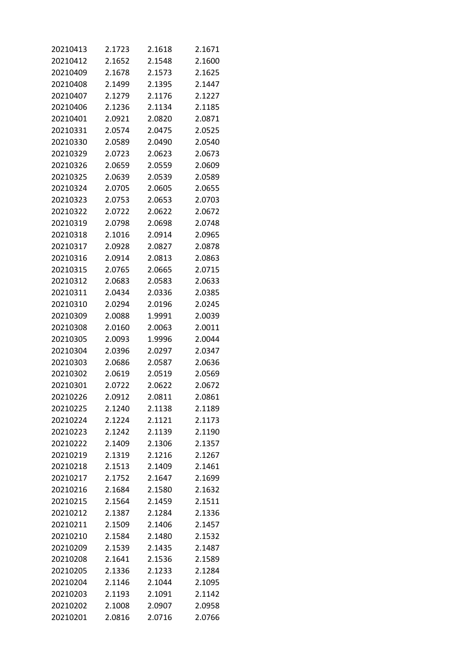| 20210413 | 2.1723 | 2.1618 | 2.1671 |
|----------|--------|--------|--------|
| 20210412 | 2.1652 | 2.1548 | 2.1600 |
| 20210409 | 2.1678 | 2.1573 | 2.1625 |
| 20210408 | 2.1499 | 2.1395 | 2.1447 |
| 20210407 | 2.1279 | 2.1176 | 2.1227 |
| 20210406 | 2.1236 | 2.1134 | 2.1185 |
| 20210401 | 2.0921 | 2.0820 | 2.0871 |
| 20210331 | 2.0574 | 2.0475 | 2.0525 |
| 20210330 | 2.0589 | 2.0490 | 2.0540 |
| 20210329 | 2.0723 | 2.0623 | 2.0673 |
| 20210326 | 2.0659 | 2.0559 | 2.0609 |
| 20210325 | 2.0639 | 2.0539 | 2.0589 |
| 20210324 | 2.0705 | 2.0605 | 2.0655 |
| 20210323 | 2.0753 | 2.0653 | 2.0703 |
| 20210322 | 2.0722 | 2.0622 | 2.0672 |
| 20210319 | 2.0798 | 2.0698 | 2.0748 |
| 20210318 | 2.1016 | 2.0914 | 2.0965 |
| 20210317 | 2.0928 | 2.0827 | 2.0878 |
| 20210316 | 2.0914 | 2.0813 | 2.0863 |
| 20210315 | 2.0765 | 2.0665 | 2.0715 |
| 20210312 | 2.0683 | 2.0583 | 2.0633 |
| 20210311 | 2.0434 | 2.0336 | 2.0385 |
| 20210310 | 2.0294 | 2.0196 | 2.0245 |
| 20210309 | 2.0088 | 1.9991 | 2.0039 |
| 20210308 | 2.0160 | 2.0063 | 2.0011 |
| 20210305 | 2.0093 | 1.9996 | 2.0044 |
| 20210304 | 2.0396 | 2.0297 | 2.0347 |
| 20210303 | 2.0686 | 2.0587 | 2.0636 |
| 20210302 | 2.0619 | 2.0519 | 2.0569 |
| 20210301 | 2.0722 | 2.0622 | 2.0672 |
| 20210226 | 2.0912 | 2.0811 | 2.0861 |
| 20210225 | 2.1240 | 2.1138 | 2.1189 |
| 20210224 | 2.1224 | 2.1121 | 2.1173 |
| 20210223 | 2.1242 | 2.1139 | 2.1190 |
| 20210222 | 2.1409 | 2.1306 | 2.1357 |
| 20210219 | 2.1319 | 2.1216 | 2.1267 |
| 20210218 | 2.1513 | 2.1409 | 2.1461 |
| 20210217 | 2.1752 | 2.1647 | 2.1699 |
| 20210216 | 2.1684 | 2.1580 | 2.1632 |
| 20210215 | 2.1564 | 2.1459 | 2.1511 |
| 20210212 | 2.1387 | 2.1284 | 2.1336 |
| 20210211 | 2.1509 | 2.1406 | 2.1457 |
| 20210210 | 2.1584 | 2.1480 | 2.1532 |
| 20210209 | 2.1539 | 2.1435 | 2.1487 |
| 20210208 | 2.1641 | 2.1536 | 2.1589 |
| 20210205 | 2.1336 | 2.1233 | 2.1284 |
| 20210204 | 2.1146 | 2.1044 | 2.1095 |
| 20210203 | 2.1193 | 2.1091 | 2.1142 |
| 20210202 | 2.1008 | 2.0907 | 2.0958 |
| 20210201 | 2.0816 | 2.0716 | 2.0766 |
|          |        |        |        |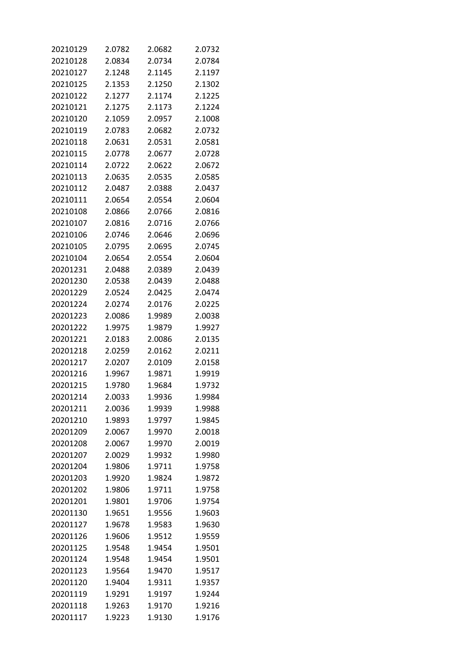| 20210129 | 2.0782 | 2.0682 | 2.0732 |
|----------|--------|--------|--------|
| 20210128 | 2.0834 | 2.0734 | 2.0784 |
| 20210127 | 2.1248 | 2.1145 | 2.1197 |
| 20210125 | 2.1353 | 2.1250 | 2.1302 |
| 20210122 | 2.1277 | 2.1174 | 2.1225 |
| 20210121 | 2.1275 | 2.1173 | 2.1224 |
| 20210120 | 2.1059 | 2.0957 | 2.1008 |
| 20210119 | 2.0783 | 2.0682 | 2.0732 |
| 20210118 | 2.0631 | 2.0531 | 2.0581 |
| 20210115 | 2.0778 | 2.0677 | 2.0728 |
| 20210114 | 2.0722 | 2.0622 | 2.0672 |
| 20210113 | 2.0635 | 2.0535 | 2.0585 |
| 20210112 | 2.0487 | 2.0388 | 2.0437 |
| 20210111 | 2.0654 | 2.0554 | 2.0604 |
| 20210108 | 2.0866 | 2.0766 | 2.0816 |
| 20210107 | 2.0816 | 2.0716 | 2.0766 |
| 20210106 | 2.0746 | 2.0646 | 2.0696 |
| 20210105 | 2.0795 | 2.0695 | 2.0745 |
| 20210104 | 2.0654 | 2.0554 | 2.0604 |
| 20201231 | 2.0488 | 2.0389 | 2.0439 |
| 20201230 | 2.0538 | 2.0439 | 2.0488 |
| 20201229 | 2.0524 | 2.0425 | 2.0474 |
| 20201224 | 2.0274 | 2.0176 | 2.0225 |
| 20201223 | 2.0086 | 1.9989 | 2.0038 |
| 20201222 | 1.9975 | 1.9879 | 1.9927 |
| 20201221 | 2.0183 | 2.0086 | 2.0135 |
| 20201218 | 2.0259 | 2.0162 | 2.0211 |
| 20201217 | 2.0207 | 2.0109 | 2.0158 |
|          | 1.9967 | 1.9871 |        |
| 20201216 |        |        | 1.9919 |
| 20201215 | 1.9780 | 1.9684 | 1.9732 |
| 20201214 | 2.0033 | 1.9936 | 1.9984 |
| 20201211 | 2.0036 | 1.9939 | 1.9988 |
| 20201210 | 1.9893 | 1.9797 | 1.9845 |
| 20201209 | 2.0067 | 1.9970 | 2.0018 |
| 20201208 | 2.0067 | 1.9970 | 2.0019 |
| 20201207 | 2.0029 | 1.9932 | 1.9980 |
| 20201204 | 1.9806 | 1.9711 | 1.9758 |
| 20201203 | 1.9920 | 1.9824 | 1.9872 |
| 20201202 | 1.9806 | 1.9711 | 1.9758 |
| 20201201 | 1.9801 | 1.9706 | 1.9754 |
| 20201130 | 1.9651 | 1.9556 | 1.9603 |
| 20201127 | 1.9678 | 1.9583 | 1.9630 |
| 20201126 | 1.9606 | 1.9512 | 1.9559 |
| 20201125 | 1.9548 | 1.9454 | 1.9501 |
| 20201124 | 1.9548 | 1.9454 | 1.9501 |
| 20201123 | 1.9564 | 1.9470 | 1.9517 |
| 20201120 | 1.9404 | 1.9311 | 1.9357 |
| 20201119 | 1.9291 | 1.9197 | 1.9244 |
| 20201118 | 1.9263 | 1.9170 | 1.9216 |
| 20201117 | 1.9223 | 1.9130 | 1.9176 |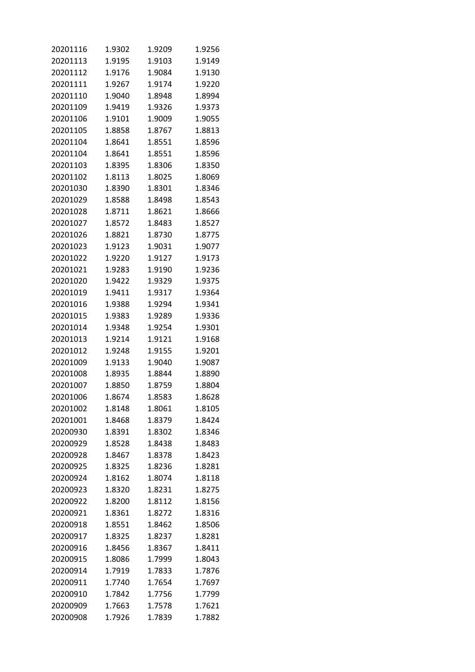| 20201116             | 1.9302           | 1.9209           | 1.9256           |
|----------------------|------------------|------------------|------------------|
| 20201113             | 1.9195           | 1.9103           | 1.9149           |
| 20201112             | 1.9176           | 1.9084           | 1.9130           |
| 20201111             | 1.9267           | 1.9174           | 1.9220           |
| 20201110             | 1.9040           | 1.8948           | 1.8994           |
| 20201109             | 1.9419           | 1.9326           | 1.9373           |
| 20201106             | 1.9101           | 1.9009           | 1.9055           |
| 20201105             | 1.8858           | 1.8767           | 1.8813           |
| 20201104             | 1.8641           | 1.8551           | 1.8596           |
| 20201104             | 1.8641           | 1.8551           | 1.8596           |
| 20201103             | 1.8395           | 1.8306           | 1.8350           |
| 20201102             | 1.8113           | 1.8025           | 1.8069           |
| 20201030             | 1.8390           | 1.8301           | 1.8346           |
| 20201029             | 1.8588           | 1.8498           | 1.8543           |
| 20201028             | 1.8711           | 1.8621           | 1.8666           |
| 20201027             | 1.8572           | 1.8483           | 1.8527           |
| 20201026             | 1.8821           | 1.8730           | 1.8775           |
| 20201023             | 1.9123           | 1.9031           | 1.9077           |
| 20201022             | 1.9220           | 1.9127           | 1.9173           |
| 20201021             | 1.9283           | 1.9190           | 1.9236           |
| 20201020             | 1.9422           | 1.9329           | 1.9375           |
| 20201019             | 1.9411           | 1.9317           | 1.9364           |
| 20201016             | 1.9388           | 1.9294           | 1.9341           |
| 20201015             | 1.9383           | 1.9289           | 1.9336           |
| 20201014             | 1.9348           | 1.9254           | 1.9301           |
| 20201013             | 1.9214           | 1.9121           | 1.9168           |
|                      | 1.9248           |                  | 1.9201           |
| 20201012             |                  | 1.9155           |                  |
| 20201009             | 1.9133<br>1.8935 | 1.9040<br>1.8844 | 1.9087           |
| 20201008             |                  |                  | 1.8890           |
| 20201007             | 1.8850           | 1.8759           | 1.8804           |
| 20201006             | 1.8674           | 1.8583<br>1.8061 | 1.8628           |
| 20201002<br>20201001 | 1.8148           |                  | 1.8105<br>1.8424 |
|                      | 1.8468           | 1.8379           |                  |
| 20200930             | 1.8391           | 1.8302           | 1.8346           |
| 20200929             | 1.8528           | 1.8438           | 1.8483           |
| 20200928             | 1.8467           | 1.8378           | 1.8423           |
| 20200925             | 1.8325           | 1.8236           | 1.8281           |
| 20200924             | 1.8162           | 1.8074           | 1.8118           |
| 20200923             | 1.8320           | 1.8231           | 1.8275           |
| 20200922             | 1.8200           | 1.8112           | 1.8156           |
| 20200921             | 1.8361           | 1.8272           | 1.8316           |
| 20200918             | 1.8551           | 1.8462           | 1.8506           |
| 20200917             | 1.8325           | 1.8237           | 1.8281           |
| 20200916             | 1.8456           | 1.8367           | 1.8411           |
| 20200915             | 1.8086           | 1.7999           | 1.8043           |
| 20200914             | 1.7919           | 1.7833           | 1.7876           |
| 20200911             | 1.7740           | 1.7654           | 1.7697           |
| 20200910             | 1.7842           | 1.7756           | 1.7799           |
| 20200909             | 1.7663           | 1.7578           | 1.7621           |
| 20200908             | 1.7926           | 1.7839           | 1.7882           |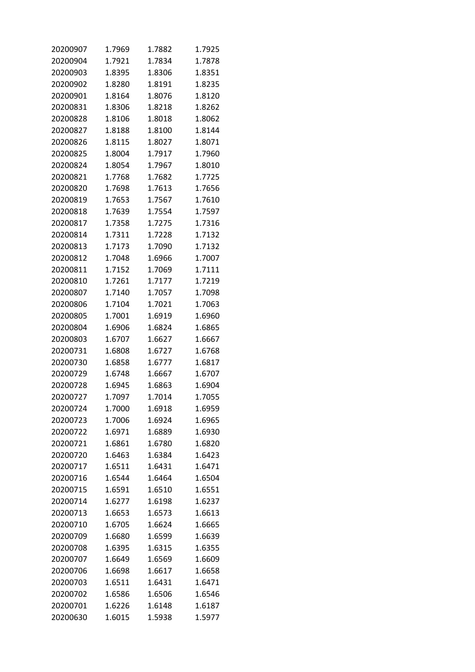| 20200907 | 1.7969 | 1.7882 | 1.7925 |
|----------|--------|--------|--------|
| 20200904 | 1.7921 | 1.7834 | 1.7878 |
| 20200903 | 1.8395 | 1.8306 | 1.8351 |
| 20200902 | 1.8280 | 1.8191 | 1.8235 |
| 20200901 | 1.8164 | 1.8076 | 1.8120 |
| 20200831 | 1.8306 | 1.8218 | 1.8262 |
| 20200828 | 1.8106 | 1.8018 | 1.8062 |
| 20200827 | 1.8188 | 1.8100 | 1.8144 |
| 20200826 | 1.8115 | 1.8027 | 1.8071 |
| 20200825 | 1.8004 | 1.7917 | 1.7960 |
| 20200824 | 1.8054 | 1.7967 | 1.8010 |
| 20200821 | 1.7768 | 1.7682 | 1.7725 |
| 20200820 | 1.7698 | 1.7613 | 1.7656 |
| 20200819 | 1.7653 | 1.7567 | 1.7610 |
| 20200818 | 1.7639 | 1.7554 | 1.7597 |
| 20200817 | 1.7358 | 1.7275 | 1.7316 |
| 20200814 | 1.7311 | 1.7228 | 1.7132 |
| 20200813 | 1.7173 | 1.7090 | 1.7132 |
| 20200812 | 1.7048 | 1.6966 | 1.7007 |
| 20200811 | 1.7152 | 1.7069 | 1.7111 |
| 20200810 | 1.7261 | 1.7177 | 1.7219 |
| 20200807 | 1.7140 | 1.7057 | 1.7098 |
| 20200806 | 1.7104 | 1.7021 | 1.7063 |
| 20200805 | 1.7001 | 1.6919 | 1.6960 |
| 20200804 | 1.6906 | 1.6824 | 1.6865 |
| 20200803 | 1.6707 | 1.6627 | 1.6667 |
| 20200731 | 1.6808 | 1.6727 | 1.6768 |
| 20200730 | 1.6858 | 1.6777 | 1.6817 |
| 20200729 | 1.6748 | 1.6667 | 1.6707 |
| 20200728 | 1.6945 | 1.6863 | 1.6904 |
| 20200727 | 1.7097 | 1.7014 | 1.7055 |
| 20200724 | 1.7000 | 1.6918 | 1.6959 |
| 20200723 | 1.7006 | 1.6924 | 1.6965 |
| 20200722 | 1.6971 | 1.6889 | 1.6930 |
| 20200721 | 1.6861 | 1.6780 | 1.6820 |
| 20200720 | 1.6463 | 1.6384 | 1.6423 |
| 20200717 | 1.6511 | 1.6431 | 1.6471 |
| 20200716 | 1.6544 | 1.6464 | 1.6504 |
| 20200715 | 1.6591 | 1.6510 | 1.6551 |
| 20200714 | 1.6277 | 1.6198 | 1.6237 |
| 20200713 | 1.6653 | 1.6573 | 1.6613 |
| 20200710 | 1.6705 | 1.6624 | 1.6665 |
| 20200709 | 1.6680 | 1.6599 | 1.6639 |
| 20200708 | 1.6395 | 1.6315 | 1.6355 |
| 20200707 | 1.6649 | 1.6569 | 1.6609 |
| 20200706 | 1.6698 | 1.6617 | 1.6658 |
| 20200703 | 1.6511 | 1.6431 | 1.6471 |
| 20200702 | 1.6586 | 1.6506 | 1.6546 |
| 20200701 | 1.6226 | 1.6148 | 1.6187 |
| 20200630 | 1.6015 | 1.5938 | 1.5977 |
|          |        |        |        |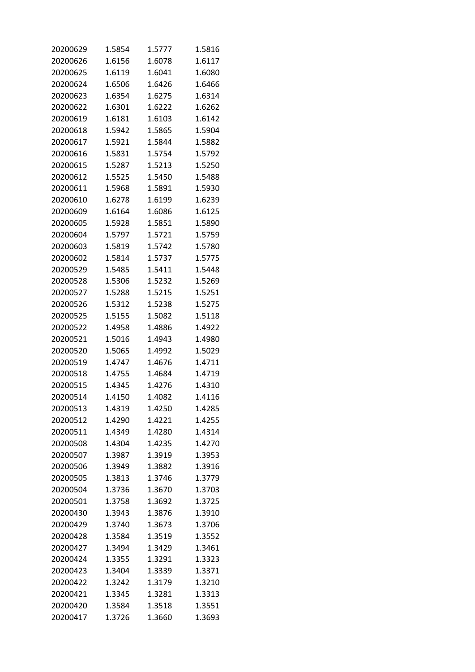| 20200629 | 1.5854 | 1.5777 | 1.5816 |
|----------|--------|--------|--------|
| 20200626 | 1.6156 | 1.6078 | 1.6117 |
| 20200625 | 1.6119 | 1.6041 | 1.6080 |
| 20200624 | 1.6506 | 1.6426 | 1.6466 |
| 20200623 | 1.6354 | 1.6275 | 1.6314 |
| 20200622 | 1.6301 | 1.6222 | 1.6262 |
| 20200619 | 1.6181 | 1.6103 | 1.6142 |
| 20200618 | 1.5942 | 1.5865 | 1.5904 |
| 20200617 | 1.5921 | 1.5844 | 1.5882 |
| 20200616 | 1.5831 | 1.5754 | 1.5792 |
| 20200615 | 1.5287 | 1.5213 | 1.5250 |
| 20200612 | 1.5525 | 1.5450 | 1.5488 |
| 20200611 | 1.5968 | 1.5891 | 1.5930 |
| 20200610 | 1.6278 | 1.6199 | 1.6239 |
| 20200609 | 1.6164 | 1.6086 | 1.6125 |
| 20200605 | 1.5928 | 1.5851 | 1.5890 |
| 20200604 | 1.5797 | 1.5721 | 1.5759 |
| 20200603 | 1.5819 | 1.5742 | 1.5780 |
| 20200602 | 1.5814 | 1.5737 | 1.5775 |
| 20200529 | 1.5485 | 1.5411 | 1.5448 |
| 20200528 | 1.5306 | 1.5232 | 1.5269 |
| 20200527 | 1.5288 | 1.5215 | 1.5251 |
| 20200526 | 1.5312 | 1.5238 | 1.5275 |
| 20200525 | 1.5155 | 1.5082 | 1.5118 |
| 20200522 | 1.4958 | 1.4886 | 1.4922 |
| 20200521 | 1.5016 | 1.4943 | 1.4980 |
| 20200520 | 1.5065 | 1.4992 | 1.5029 |
| 20200519 | 1.4747 | 1.4676 | 1.4711 |
| 20200518 | 1.4755 | 1.4684 | 1.4719 |
| 20200515 | 1.4345 | 1.4276 | 1.4310 |
| 20200514 | 1.4150 | 1.4082 | 1.4116 |
| 20200513 | 1.4319 | 1.4250 | 1.4285 |
| 20200512 | 1.4290 | 1.4221 | 1.4255 |
| 20200511 | 1.4349 | 1.4280 | 1.4314 |
| 20200508 | 1.4304 | 1.4235 | 1.4270 |
| 20200507 | 1.3987 | 1.3919 | 1.3953 |
| 20200506 | 1.3949 | 1.3882 | 1.3916 |
| 20200505 | 1.3813 | 1.3746 | 1.3779 |
| 20200504 | 1.3736 | 1.3670 | 1.3703 |
| 20200501 | 1.3758 | 1.3692 | 1.3725 |
| 20200430 | 1.3943 | 1.3876 | 1.3910 |
| 20200429 | 1.3740 | 1.3673 | 1.3706 |
| 20200428 | 1.3584 | 1.3519 | 1.3552 |
| 20200427 | 1.3494 | 1.3429 | 1.3461 |
| 20200424 | 1.3355 | 1.3291 | 1.3323 |
| 20200423 | 1.3404 | 1.3339 | 1.3371 |
| 20200422 | 1.3242 | 1.3179 | 1.3210 |
| 20200421 | 1.3345 | 1.3281 | 1.3313 |
| 20200420 | 1.3584 | 1.3518 | 1.3551 |
| 20200417 | 1.3726 | 1.3660 | 1.3693 |
|          |        |        |        |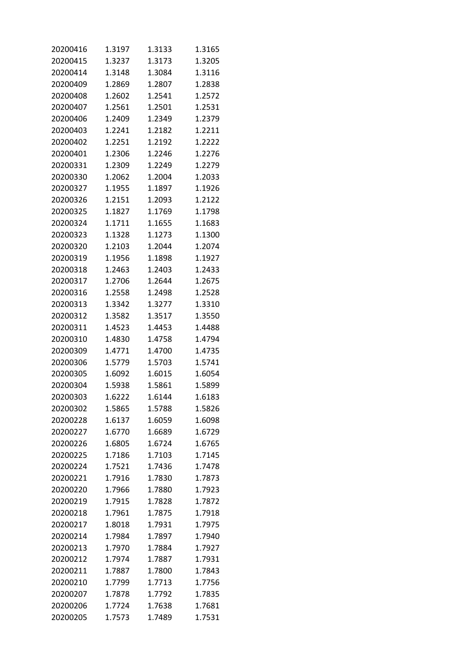| 20200416 | 1.3197 | 1.3133 | 1.3165 |
|----------|--------|--------|--------|
| 20200415 | 1.3237 | 1.3173 | 1.3205 |
| 20200414 | 1.3148 | 1.3084 | 1.3116 |
| 20200409 | 1.2869 | 1.2807 | 1.2838 |
| 20200408 | 1.2602 | 1.2541 | 1.2572 |
| 20200407 | 1.2561 | 1.2501 | 1.2531 |
| 20200406 | 1.2409 | 1.2349 | 1.2379 |
| 20200403 | 1.2241 | 1.2182 | 1.2211 |
| 20200402 | 1.2251 | 1.2192 | 1.2222 |
| 20200401 | 1.2306 | 1.2246 | 1.2276 |
| 20200331 | 1.2309 | 1.2249 | 1.2279 |
| 20200330 | 1.2062 | 1.2004 | 1.2033 |
| 20200327 | 1.1955 | 1.1897 | 1.1926 |
| 20200326 | 1.2151 | 1.2093 | 1.2122 |
| 20200325 | 1.1827 | 1.1769 | 1.1798 |
| 20200324 | 1.1711 | 1.1655 | 1.1683 |
| 20200323 | 1.1328 | 1.1273 | 1.1300 |
| 20200320 | 1.2103 | 1.2044 | 1.2074 |
| 20200319 | 1.1956 | 1.1898 | 1.1927 |
| 20200318 | 1.2463 | 1.2403 | 1.2433 |
| 20200317 | 1.2706 | 1.2644 | 1.2675 |
| 20200316 | 1.2558 | 1.2498 | 1.2528 |
| 20200313 | 1.3342 | 1.3277 | 1.3310 |
| 20200312 | 1.3582 | 1.3517 | 1.3550 |
| 20200311 | 1.4523 | 1.4453 | 1.4488 |
| 20200310 | 1.4830 | 1.4758 | 1.4794 |
| 20200309 | 1.4771 | 1.4700 | 1.4735 |
| 20200306 | 1.5779 | 1.5703 | 1.5741 |
| 20200305 | 1.6092 | 1.6015 | 1.6054 |
| 20200304 | 1.5938 | 1.5861 | 1.5899 |
| 20200303 | 1.6222 | 1.6144 | 1.6183 |
| 20200302 | 1.5865 | 1.5788 | 1.5826 |
| 20200228 | 1.6137 | 1.6059 | 1.6098 |
| 20200227 | 1.6770 | 1.6689 | 1.6729 |
| 20200226 | 1.6805 | 1.6724 | 1.6765 |
| 20200225 | 1.7186 | 1.7103 | 1.7145 |
| 20200224 | 1.7521 | 1.7436 | 1.7478 |
| 20200221 | 1.7916 | 1.7830 | 1.7873 |
| 20200220 | 1.7966 | 1.7880 | 1.7923 |
| 20200219 | 1.7915 | 1.7828 | 1.7872 |
| 20200218 | 1.7961 | 1.7875 | 1.7918 |
| 20200217 | 1.8018 | 1.7931 | 1.7975 |
| 20200214 | 1.7984 | 1.7897 | 1.7940 |
| 20200213 | 1.7970 | 1.7884 | 1.7927 |
| 20200212 | 1.7974 | 1.7887 | 1.7931 |
| 20200211 | 1.7887 | 1.7800 | 1.7843 |
| 20200210 | 1.7799 | 1.7713 | 1.7756 |
| 20200207 | 1.7878 | 1.7792 | 1.7835 |
| 20200206 | 1.7724 | 1.7638 | 1.7681 |
| 20200205 | 1.7573 | 1.7489 | 1.7531 |
|          |        |        |        |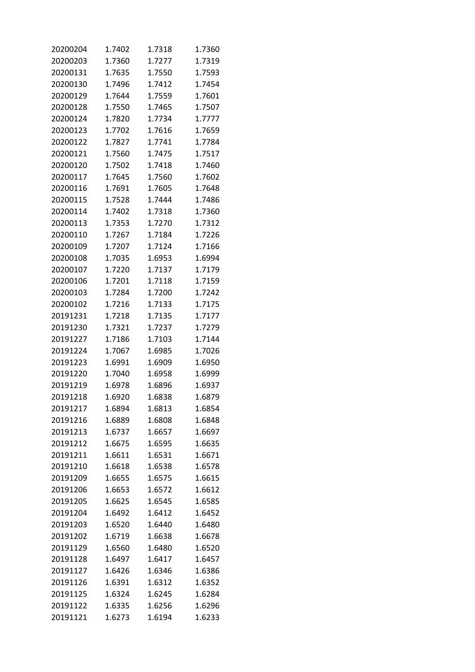| 20200204 | 1.7402 | 1.7318 | 1.7360 |
|----------|--------|--------|--------|
| 20200203 | 1.7360 | 1.7277 | 1.7319 |
| 20200131 | 1.7635 | 1.7550 | 1.7593 |
| 20200130 | 1.7496 | 1.7412 | 1.7454 |
| 20200129 | 1.7644 | 1.7559 | 1.7601 |
| 20200128 | 1.7550 | 1.7465 | 1.7507 |
| 20200124 | 1.7820 | 1.7734 | 1.7777 |
| 20200123 | 1.7702 | 1.7616 | 1.7659 |
| 20200122 | 1.7827 | 1.7741 | 1.7784 |
| 20200121 | 1.7560 | 1.7475 | 1.7517 |
| 20200120 | 1.7502 | 1.7418 | 1.7460 |
| 20200117 | 1.7645 | 1.7560 | 1.7602 |
| 20200116 | 1.7691 | 1.7605 | 1.7648 |
| 20200115 | 1.7528 | 1.7444 | 1.7486 |
| 20200114 | 1.7402 | 1.7318 | 1.7360 |
| 20200113 | 1.7353 | 1.7270 | 1.7312 |
| 20200110 | 1.7267 | 1.7184 | 1.7226 |
| 20200109 | 1.7207 | 1.7124 | 1.7166 |
| 20200108 | 1.7035 | 1.6953 | 1.6994 |
| 20200107 | 1.7220 | 1.7137 | 1.7179 |
| 20200106 | 1.7201 | 1.7118 | 1.7159 |
| 20200103 | 1.7284 | 1.7200 | 1.7242 |
| 20200102 | 1.7216 | 1.7133 | 1.7175 |
| 20191231 | 1.7218 | 1.7135 | 1.7177 |
| 20191230 | 1.7321 | 1.7237 | 1.7279 |
| 20191227 | 1.7186 | 1.7103 | 1.7144 |
| 20191224 | 1.7067 | 1.6985 | 1.7026 |
| 20191223 | 1.6991 | 1.6909 | 1.6950 |
| 20191220 | 1.7040 | 1.6958 | 1.6999 |
| 20191219 | 1.6978 | 1.6896 | 1.6937 |
| 20191218 | 1.6920 | 1.6838 | 1.6879 |
| 20191217 | 1.6894 | 1.6813 | 1.6854 |
| 20191216 | 1.6889 | 1.6808 | 1.6848 |
| 20191213 | 1.6737 | 1.6657 | 1.6697 |
| 20191212 | 1.6675 | 1.6595 | 1.6635 |
| 20191211 | 1.6611 | 1.6531 | 1.6671 |
| 20191210 | 1.6618 | 1.6538 | 1.6578 |
| 20191209 | 1.6655 | 1.6575 | 1.6615 |
| 20191206 | 1.6653 | 1.6572 | 1.6612 |
| 20191205 | 1.6625 | 1.6545 | 1.6585 |
| 20191204 | 1.6492 | 1.6412 | 1.6452 |
| 20191203 | 1.6520 | 1.6440 | 1.6480 |
| 20191202 | 1.6719 | 1.6638 | 1.6678 |
| 20191129 | 1.6560 | 1.6480 | 1.6520 |
| 20191128 | 1.6497 | 1.6417 | 1.6457 |
| 20191127 | 1.6426 | 1.6346 | 1.6386 |
| 20191126 | 1.6391 | 1.6312 | 1.6352 |
| 20191125 | 1.6324 | 1.6245 | 1.6284 |
| 20191122 | 1.6335 | 1.6256 | 1.6296 |
| 20191121 | 1.6273 | 1.6194 | 1.6233 |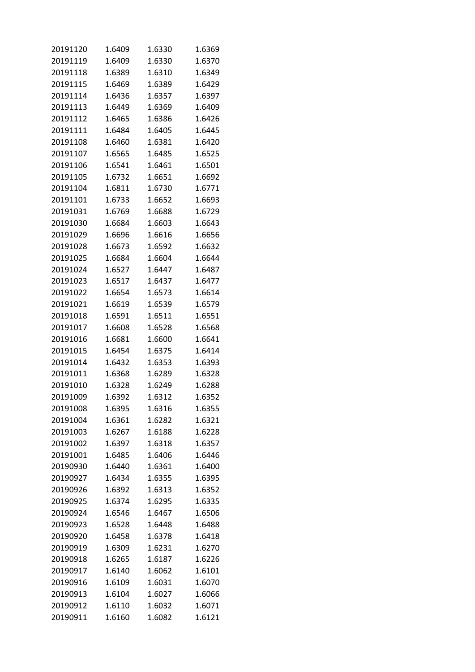| 20191120 | 1.6409 | 1.6330 | 1.6369 |
|----------|--------|--------|--------|
| 20191119 | 1.6409 | 1.6330 | 1.6370 |
| 20191118 | 1.6389 | 1.6310 | 1.6349 |
| 20191115 | 1.6469 | 1.6389 | 1.6429 |
| 20191114 | 1.6436 | 1.6357 | 1.6397 |
| 20191113 | 1.6449 | 1.6369 | 1.6409 |
| 20191112 | 1.6465 | 1.6386 | 1.6426 |
| 20191111 | 1.6484 | 1.6405 | 1.6445 |
| 20191108 | 1.6460 | 1.6381 | 1.6420 |
|          | 1.6565 |        |        |
| 20191107 |        | 1.6485 | 1.6525 |
| 20191106 | 1.6541 | 1.6461 | 1.6501 |
| 20191105 | 1.6732 | 1.6651 | 1.6692 |
| 20191104 | 1.6811 | 1.6730 | 1.6771 |
| 20191101 | 1.6733 | 1.6652 | 1.6693 |
| 20191031 | 1.6769 | 1.6688 | 1.6729 |
| 20191030 | 1.6684 | 1.6603 | 1.6643 |
| 20191029 | 1.6696 | 1.6616 | 1.6656 |
| 20191028 | 1.6673 | 1.6592 | 1.6632 |
| 20191025 | 1.6684 | 1.6604 | 1.6644 |
| 20191024 | 1.6527 | 1.6447 | 1.6487 |
| 20191023 | 1.6517 | 1.6437 | 1.6477 |
| 20191022 | 1.6654 | 1.6573 | 1.6614 |
| 20191021 | 1.6619 | 1.6539 | 1.6579 |
| 20191018 | 1.6591 | 1.6511 | 1.6551 |
| 20191017 | 1.6608 | 1.6528 | 1.6568 |
| 20191016 | 1.6681 | 1.6600 | 1.6641 |
| 20191015 | 1.6454 | 1.6375 | 1.6414 |
| 20191014 | 1.6432 | 1.6353 | 1.6393 |
| 20191011 | 1.6368 | 1.6289 | 1.6328 |
| 20191010 | 1.6328 | 1.6249 | 1.6288 |
| 20191009 | 1.6392 | 1.6312 | 1.6352 |
| 20191008 | 1.6395 | 1.6316 | 1.6355 |
| 20191004 | 1.6361 | 1.6282 | 1.6321 |
| 20191003 | 1.6267 | 1.6188 | 1.6228 |
| 20191002 | 1.6397 | 1.6318 | 1.6357 |
| 20191001 | 1.6485 | 1.6406 | 1.6446 |
| 20190930 | 1.6440 | 1.6361 | 1.6400 |
| 20190927 | 1.6434 | 1.6355 | 1.6395 |
| 20190926 | 1.6392 | 1.6313 | 1.6352 |
| 20190925 | 1.6374 | 1.6295 | 1.6335 |
| 20190924 | 1.6546 | 1.6467 | 1.6506 |
| 20190923 | 1.6528 | 1.6448 | 1.6488 |
| 20190920 | 1.6458 | 1.6378 | 1.6418 |
| 20190919 | 1.6309 | 1.6231 | 1.6270 |
| 20190918 | 1.6265 | 1.6187 | 1.6226 |
| 20190917 | 1.6140 | 1.6062 | 1.6101 |
| 20190916 | 1.6109 | 1.6031 | 1.6070 |
| 20190913 | 1.6104 | 1.6027 | 1.6066 |
| 20190912 | 1.6110 | 1.6032 | 1.6071 |
|          |        |        |        |
| 20190911 | 1.6160 | 1.6082 | 1.6121 |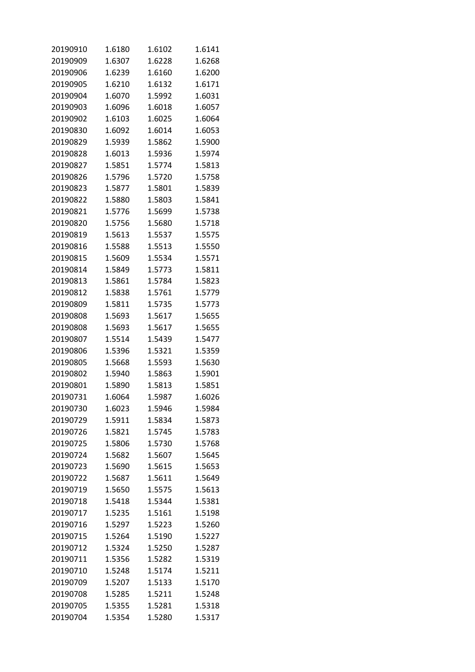| 20190910 | 1.6180 | 1.6102 | 1.6141 |
|----------|--------|--------|--------|
| 20190909 | 1.6307 | 1.6228 | 1.6268 |
| 20190906 | 1.6239 | 1.6160 | 1.6200 |
| 20190905 | 1.6210 | 1.6132 | 1.6171 |
| 20190904 | 1.6070 | 1.5992 | 1.6031 |
| 20190903 | 1.6096 | 1.6018 | 1.6057 |
| 20190902 | 1.6103 | 1.6025 | 1.6064 |
| 20190830 | 1.6092 | 1.6014 | 1.6053 |
| 20190829 | 1.5939 | 1.5862 | 1.5900 |
| 20190828 | 1.6013 | 1.5936 | 1.5974 |
| 20190827 | 1.5851 | 1.5774 | 1.5813 |
| 20190826 | 1.5796 | 1.5720 | 1.5758 |
| 20190823 | 1.5877 | 1.5801 | 1.5839 |
| 20190822 | 1.5880 | 1.5803 | 1.5841 |
| 20190821 | 1.5776 | 1.5699 | 1.5738 |
| 20190820 | 1.5756 | 1.5680 | 1.5718 |
| 20190819 | 1.5613 | 1.5537 | 1.5575 |
| 20190816 |        |        |        |
|          | 1.5588 | 1.5513 | 1.5550 |
| 20190815 | 1.5609 | 1.5534 | 1.5571 |
| 20190814 | 1.5849 | 1.5773 | 1.5811 |
| 20190813 | 1.5861 | 1.5784 | 1.5823 |
| 20190812 | 1.5838 | 1.5761 | 1.5779 |
| 20190809 | 1.5811 | 1.5735 | 1.5773 |
| 20190808 | 1.5693 | 1.5617 | 1.5655 |
| 20190808 | 1.5693 | 1.5617 | 1.5655 |
| 20190807 | 1.5514 | 1.5439 | 1.5477 |
| 20190806 | 1.5396 | 1.5321 | 1.5359 |
| 20190805 | 1.5668 | 1.5593 | 1.5630 |
| 20190802 | 1.5940 | 1.5863 | 1.5901 |
| 20190801 | 1.5890 | 1.5813 | 1.5851 |
| 20190731 | 1.6064 | 1.5987 | 1.6026 |
| 20190730 | 1.6023 | 1.5946 | 1.5984 |
| 20190729 | 1.5911 | 1.5834 | 1.5873 |
| 20190726 | 1.5821 | 1.5745 | 1.5783 |
| 20190725 | 1.5806 | 1.5730 | 1.5768 |
| 20190724 | 1.5682 | 1.5607 | 1.5645 |
| 20190723 | 1.5690 | 1.5615 | 1.5653 |
| 20190722 | 1.5687 | 1.5611 | 1.5649 |
| 20190719 | 1.5650 | 1.5575 | 1.5613 |
| 20190718 | 1.5418 | 1.5344 | 1.5381 |
| 20190717 | 1.5235 | 1.5161 | 1.5198 |
| 20190716 | 1.5297 | 1.5223 | 1.5260 |
| 20190715 | 1.5264 | 1.5190 | 1.5227 |
| 20190712 | 1.5324 | 1.5250 | 1.5287 |
| 20190711 | 1.5356 | 1.5282 | 1.5319 |
| 20190710 | 1.5248 | 1.5174 | 1.5211 |
| 20190709 | 1.5207 | 1.5133 | 1.5170 |
| 20190708 | 1.5285 | 1.5211 | 1.5248 |
| 20190705 | 1.5355 | 1.5281 | 1.5318 |
| 20190704 | 1.5354 | 1.5280 | 1.5317 |
|          |        |        |        |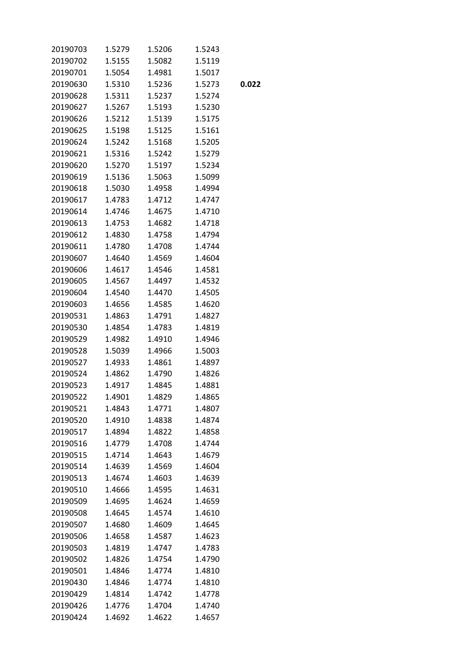| 20190703 | 1.5279 | 1.5206 | 1.5243 |       |
|----------|--------|--------|--------|-------|
| 20190702 | 1.5155 | 1.5082 | 1.5119 |       |
| 20190701 | 1.5054 | 1.4981 | 1.5017 |       |
| 20190630 | 1.5310 | 1.5236 | 1.5273 | 0.022 |
| 20190628 | 1.5311 | 1.5237 | 1.5274 |       |
| 20190627 | 1.5267 | 1.5193 | 1.5230 |       |
| 20190626 | 1.5212 | 1.5139 | 1.5175 |       |
| 20190625 | 1.5198 | 1.5125 | 1.5161 |       |
| 20190624 | 1.5242 | 1.5168 | 1.5205 |       |
| 20190621 | 1.5316 | 1.5242 | 1.5279 |       |
| 20190620 | 1.5270 | 1.5197 | 1.5234 |       |
| 20190619 | 1.5136 | 1.5063 | 1.5099 |       |
| 20190618 | 1.5030 | 1.4958 | 1.4994 |       |
| 20190617 | 1.4783 | 1.4712 | 1.4747 |       |
| 20190614 | 1.4746 | 1.4675 | 1.4710 |       |
| 20190613 | 1.4753 | 1.4682 | 1.4718 |       |
| 20190612 | 1.4830 | 1.4758 | 1.4794 |       |
| 20190611 | 1.4780 | 1.4708 | 1.4744 |       |
| 20190607 | 1.4640 | 1.4569 | 1.4604 |       |
| 20190606 | 1.4617 | 1.4546 | 1.4581 |       |
| 20190605 | 1.4567 | 1.4497 | 1.4532 |       |
| 20190604 | 1.4540 | 1.4470 | 1.4505 |       |
| 20190603 | 1.4656 | 1.4585 | 1.4620 |       |
| 20190531 | 1.4863 | 1.4791 | 1.4827 |       |
| 20190530 | 1.4854 | 1.4783 | 1.4819 |       |
| 20190529 | 1.4982 | 1.4910 | 1.4946 |       |
| 20190528 | 1.5039 | 1.4966 | 1.5003 |       |
| 20190527 | 1.4933 | 1.4861 | 1.4897 |       |
| 20190524 | 1.4862 | 1.4790 | 1.4826 |       |
| 20190523 | 1.4917 | 1.4845 | 1.4881 |       |
| 20190522 | 1.4901 | 1.4829 | 1.4865 |       |
| 20190521 | 1.4843 | 1.4771 | 1.4807 |       |
| 20190520 | 1.4910 | 1.4838 | 1.4874 |       |
| 20190517 | 1.4894 | 1.4822 | 1.4858 |       |
| 20190516 | 1.4779 | 1.4708 | 1.4744 |       |
| 20190515 | 1.4714 | 1.4643 | 1.4679 |       |
| 20190514 | 1.4639 | 1.4569 | 1.4604 |       |
| 20190513 | 1.4674 | 1.4603 | 1.4639 |       |
| 20190510 | 1.4666 | 1.4595 | 1.4631 |       |
| 20190509 | 1.4695 | 1.4624 | 1.4659 |       |
| 20190508 | 1.4645 | 1.4574 | 1.4610 |       |
| 20190507 | 1.4680 | 1.4609 | 1.4645 |       |
| 20190506 | 1.4658 | 1.4587 | 1.4623 |       |
| 20190503 | 1.4819 | 1.4747 | 1.4783 |       |
| 20190502 | 1.4826 | 1.4754 | 1.4790 |       |
| 20190501 | 1.4846 | 1.4774 | 1.4810 |       |
| 20190430 | 1.4846 | 1.4774 | 1.4810 |       |
| 20190429 | 1.4814 | 1.4742 | 1.4778 |       |
| 20190426 | 1.4776 | 1.4704 | 1.4740 |       |
| 20190424 | 1.4692 | 1.4622 | 1.4657 |       |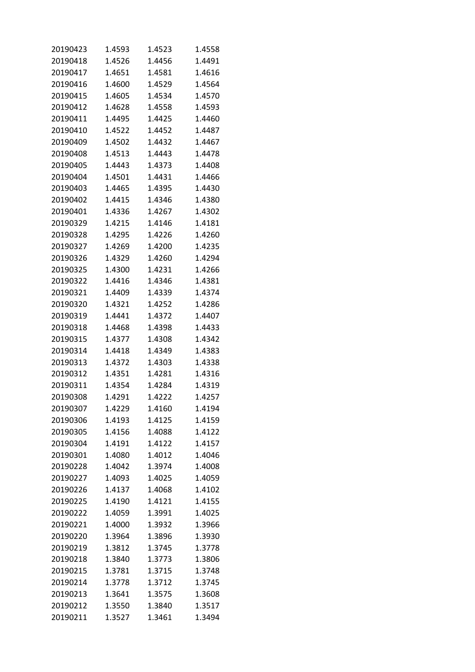| 20190423 | 1.4593 | 1.4523 | 1.4558 |
|----------|--------|--------|--------|
| 20190418 | 1.4526 | 1.4456 | 1.4491 |
| 20190417 | 1.4651 | 1.4581 | 1.4616 |
| 20190416 | 1.4600 | 1.4529 | 1.4564 |
| 20190415 | 1.4605 | 1.4534 | 1.4570 |
| 20190412 | 1.4628 | 1.4558 | 1.4593 |
| 20190411 | 1.4495 | 1.4425 | 1.4460 |
| 20190410 | 1.4522 | 1.4452 | 1.4487 |
| 20190409 | 1.4502 | 1.4432 | 1.4467 |
| 20190408 | 1.4513 | 1.4443 | 1.4478 |
| 20190405 | 1.4443 | 1.4373 | 1.4408 |
| 20190404 | 1.4501 | 1.4431 | 1.4466 |
| 20190403 | 1.4465 | 1.4395 | 1.4430 |
| 20190402 | 1.4415 | 1.4346 | 1.4380 |
| 20190401 | 1.4336 | 1.4267 | 1.4302 |
| 20190329 | 1.4215 | 1.4146 | 1.4181 |
| 20190328 | 1.4295 | 1.4226 | 1.4260 |
| 20190327 | 1.4269 | 1.4200 | 1.4235 |
| 20190326 | 1.4329 | 1.4260 | 1.4294 |
| 20190325 | 1.4300 | 1.4231 | 1.4266 |
| 20190322 | 1.4416 | 1.4346 | 1.4381 |
| 20190321 | 1.4409 | 1.4339 | 1.4374 |
| 20190320 | 1.4321 | 1.4252 | 1.4286 |
| 20190319 | 1.4441 | 1.4372 | 1.4407 |
| 20190318 | 1.4468 | 1.4398 | 1.4433 |
| 20190315 | 1.4377 | 1.4308 | 1.4342 |
| 20190314 | 1.4418 | 1.4349 | 1.4383 |
| 20190313 | 1.4372 | 1.4303 | 1.4338 |
| 20190312 | 1.4351 | 1.4281 | 1.4316 |
| 20190311 | 1.4354 | 1.4284 | 1.4319 |
| 20190308 | 1.4291 | 1.4222 | 1.4257 |
| 20190307 | 1.4229 | 1.4160 | 1.4194 |
| 20190306 | 1.4193 | 1.4125 | 1.4159 |
| 20190305 | 1.4156 | 1.4088 | 1.4122 |
| 20190304 | 1.4191 | 1.4122 | 1.4157 |
| 20190301 | 1.4080 | 1.4012 | 1.4046 |
| 20190228 | 1.4042 | 1.3974 | 1.4008 |
| 20190227 | 1.4093 | 1.4025 | 1.4059 |
| 20190226 | 1.4137 | 1.4068 | 1.4102 |
| 20190225 | 1.4190 | 1.4121 | 1.4155 |
| 20190222 | 1.4059 | 1.3991 | 1.4025 |
| 20190221 | 1.4000 | 1.3932 | 1.3966 |
| 20190220 | 1.3964 | 1.3896 | 1.3930 |
| 20190219 | 1.3812 | 1.3745 | 1.3778 |
| 20190218 | 1.3840 | 1.3773 | 1.3806 |
| 20190215 | 1.3781 | 1.3715 | 1.3748 |
| 20190214 | 1.3778 | 1.3712 | 1.3745 |
| 20190213 | 1.3641 | 1.3575 | 1.3608 |
| 20190212 | 1.3550 | 1.3840 | 1.3517 |
| 20190211 | 1.3527 | 1.3461 | 1.3494 |
|          |        |        |        |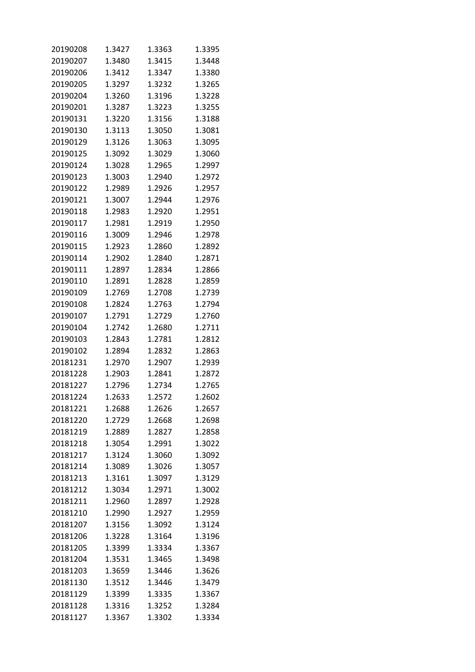| 20190208 | 1.3427 | 1.3363 | 1.3395 |
|----------|--------|--------|--------|
| 20190207 | 1.3480 | 1.3415 | 1.3448 |
| 20190206 | 1.3412 | 1.3347 | 1.3380 |
| 20190205 | 1.3297 | 1.3232 | 1.3265 |
| 20190204 | 1.3260 | 1.3196 | 1.3228 |
| 20190201 | 1.3287 | 1.3223 | 1.3255 |
| 20190131 | 1.3220 | 1.3156 | 1.3188 |
| 20190130 | 1.3113 | 1.3050 | 1.3081 |
| 20190129 | 1.3126 | 1.3063 | 1.3095 |
| 20190125 | 1.3092 | 1.3029 | 1.3060 |
| 20190124 | 1.3028 | 1.2965 | 1.2997 |
| 20190123 | 1.3003 | 1.2940 | 1.2972 |
| 20190122 | 1.2989 | 1.2926 | 1.2957 |
| 20190121 | 1.3007 | 1.2944 | 1.2976 |
| 20190118 | 1.2983 | 1.2920 | 1.2951 |
| 20190117 | 1.2981 | 1.2919 | 1.2950 |
| 20190116 | 1.3009 | 1.2946 | 1.2978 |
| 20190115 | 1.2923 | 1.2860 | 1.2892 |
| 20190114 | 1.2902 | 1.2840 | 1.2871 |
| 20190111 | 1.2897 | 1.2834 | 1.2866 |
| 20190110 | 1.2891 | 1.2828 | 1.2859 |
| 20190109 | 1.2769 | 1.2708 | 1.2739 |
| 20190108 | 1.2824 | 1.2763 | 1.2794 |
| 20190107 | 1.2791 | 1.2729 | 1.2760 |
| 20190104 | 1.2742 | 1.2680 | 1.2711 |
| 20190103 | 1.2843 | 1.2781 | 1.2812 |
| 20190102 | 1.2894 | 1.2832 | 1.2863 |
| 20181231 | 1.2970 | 1.2907 | 1.2939 |
| 20181228 | 1.2903 | 1.2841 | 1.2872 |
| 20181227 | 1.2796 | 1.2734 | 1.2765 |
| 20181224 | 1.2633 | 1.2572 | 1.2602 |
| 20181221 | 1.2688 | 1.2626 | 1.2657 |
| 20181220 | 1.2729 | 1.2668 | 1.2698 |
| 20181219 | 1.2889 | 1.2827 | 1.2858 |
| 20181218 | 1.3054 | 1.2991 | 1.3022 |
| 20181217 | 1.3124 | 1.3060 | 1.3092 |
| 20181214 | 1.3089 | 1.3026 | 1.3057 |
| 20181213 | 1.3161 | 1.3097 | 1.3129 |
| 20181212 | 1.3034 | 1.2971 | 1.3002 |
| 20181211 | 1.2960 | 1.2897 | 1.2928 |
| 20181210 | 1.2990 | 1.2927 | 1.2959 |
| 20181207 | 1.3156 | 1.3092 | 1.3124 |
| 20181206 | 1.3228 | 1.3164 | 1.3196 |
| 20181205 | 1.3399 | 1.3334 | 1.3367 |
| 20181204 | 1.3531 | 1.3465 | 1.3498 |
| 20181203 | 1.3659 | 1.3446 | 1.3626 |
| 20181130 | 1.3512 | 1.3446 | 1.3479 |
| 20181129 | 1.3399 | 1.3335 | 1.3367 |
| 20181128 | 1.3316 | 1.3252 | 1.3284 |
| 20181127 | 1.3367 | 1.3302 | 1.3334 |
|          |        |        |        |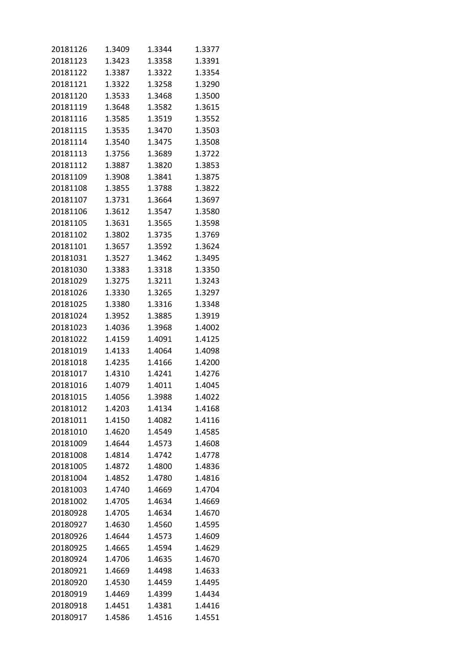| 20181126 | 1.3409 | 1.3344 | 1.3377 |
|----------|--------|--------|--------|
| 20181123 | 1.3423 | 1.3358 | 1.3391 |
| 20181122 | 1.3387 | 1.3322 | 1.3354 |
| 20181121 | 1.3322 | 1.3258 | 1.3290 |
| 20181120 | 1.3533 | 1.3468 | 1.3500 |
| 20181119 | 1.3648 | 1.3582 | 1.3615 |
| 20181116 | 1.3585 | 1.3519 | 1.3552 |
| 20181115 | 1.3535 | 1.3470 | 1.3503 |
| 20181114 | 1.3540 | 1.3475 | 1.3508 |
| 20181113 | 1.3756 | 1.3689 | 1.3722 |
| 20181112 | 1.3887 | 1.3820 | 1.3853 |
| 20181109 | 1.3908 | 1.3841 | 1.3875 |
| 20181108 | 1.3855 | 1.3788 | 1.3822 |
| 20181107 | 1.3731 | 1.3664 | 1.3697 |
| 20181106 | 1.3612 | 1.3547 | 1.3580 |
| 20181105 | 1.3631 | 1.3565 | 1.3598 |
| 20181102 | 1.3802 | 1.3735 | 1.3769 |
| 20181101 | 1.3657 | 1.3592 | 1.3624 |
| 20181031 | 1.3527 | 1.3462 | 1.3495 |
| 20181030 | 1.3383 | 1.3318 | 1.3350 |
| 20181029 | 1.3275 | 1.3211 | 1.3243 |
| 20181026 | 1.3330 | 1.3265 | 1.3297 |
| 20181025 | 1.3380 | 1.3316 | 1.3348 |
| 20181024 | 1.3952 | 1.3885 | 1.3919 |
| 20181023 | 1.4036 | 1.3968 | 1.4002 |
| 20181022 | 1.4159 | 1.4091 | 1.4125 |
| 20181019 | 1.4133 | 1.4064 | 1.4098 |
| 20181018 | 1.4235 | 1.4166 | 1.4200 |
| 20181017 | 1.4310 | 1.4241 | 1.4276 |
| 20181016 | 1.4079 | 1.4011 | 1.4045 |
| 20181015 | 1.4056 | 1.3988 | 1.4022 |
| 20181012 | 1.4203 | 1.4134 | 1.4168 |
| 20181011 | 1.4150 | 1.4082 | 1.4116 |
| 20181010 | 1.4620 | 1.4549 | 1.4585 |
| 20181009 | 1.4644 | 1.4573 | 1.4608 |
| 20181008 | 1.4814 | 1.4742 | 1.4778 |
| 20181005 | 1.4872 | 1.4800 | 1.4836 |
| 20181004 | 1.4852 | 1.4780 | 1.4816 |
| 20181003 | 1.4740 | 1.4669 | 1.4704 |
| 20181002 | 1.4705 | 1.4634 | 1.4669 |
| 20180928 | 1.4705 | 1.4634 | 1.4670 |
| 20180927 | 1.4630 | 1.4560 | 1.4595 |
| 20180926 | 1.4644 | 1.4573 | 1.4609 |
| 20180925 | 1.4665 | 1.4594 | 1.4629 |
| 20180924 | 1.4706 | 1.4635 | 1.4670 |
| 20180921 | 1.4669 | 1.4498 | 1.4633 |
| 20180920 | 1.4530 | 1.4459 | 1.4495 |
| 20180919 | 1.4469 | 1.4399 | 1.4434 |
| 20180918 | 1.4451 | 1.4381 | 1.4416 |
| 20180917 | 1.4586 | 1.4516 | 1.4551 |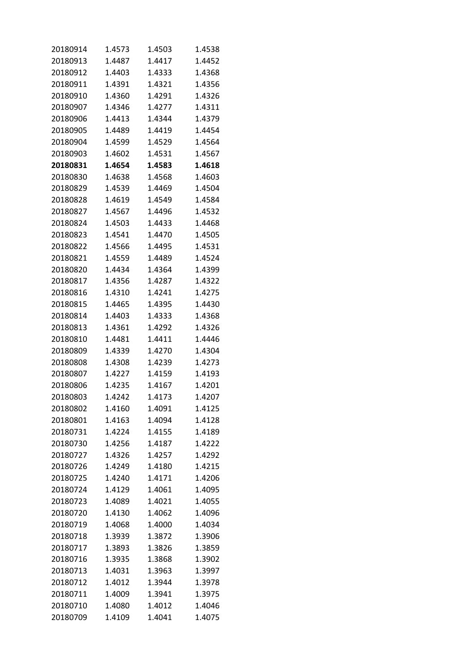| 20180914 | 1.4573 | 1.4503 | 1.4538 |
|----------|--------|--------|--------|
| 20180913 | 1.4487 | 1.4417 | 1.4452 |
| 20180912 | 1.4403 | 1.4333 | 1.4368 |
| 20180911 | 1.4391 | 1.4321 | 1.4356 |
| 20180910 | 1.4360 | 1.4291 | 1.4326 |
| 20180907 | 1.4346 | 1.4277 | 1.4311 |
| 20180906 | 1.4413 | 1.4344 | 1.4379 |
| 20180905 | 1.4489 | 1.4419 | 1.4454 |
| 20180904 | 1.4599 | 1.4529 | 1.4564 |
| 20180903 | 1.4602 | 1.4531 | 1.4567 |
| 20180831 | 1.4654 | 1.4583 | 1.4618 |
| 20180830 | 1.4638 | 1.4568 | 1.4603 |
| 20180829 | 1.4539 | 1.4469 | 1.4504 |
| 20180828 | 1.4619 | 1.4549 | 1.4584 |
| 20180827 | 1.4567 | 1.4496 | 1.4532 |
| 20180824 | 1.4503 | 1.4433 | 1.4468 |
| 20180823 | 1.4541 | 1.4470 | 1.4505 |
| 20180822 | 1.4566 | 1.4495 | 1.4531 |
| 20180821 | 1.4559 | 1.4489 | 1.4524 |
| 20180820 | 1.4434 | 1.4364 | 1.4399 |
| 20180817 | 1.4356 | 1.4287 | 1.4322 |
| 20180816 | 1.4310 | 1.4241 | 1.4275 |
| 20180815 | 1.4465 | 1.4395 | 1.4430 |
| 20180814 | 1.4403 | 1.4333 | 1.4368 |
| 20180813 | 1.4361 | 1.4292 | 1.4326 |
| 20180810 | 1.4481 | 1.4411 | 1.4446 |
| 20180809 | 1.4339 | 1.4270 | 1.4304 |
| 20180808 | 1.4308 | 1.4239 | 1.4273 |
| 20180807 | 1.4227 | 1.4159 | 1.4193 |
| 20180806 | 1.4235 | 1.4167 | 1.4201 |
| 20180803 | 1.4242 | 1.4173 | 1.4207 |
| 20180802 | 1.4160 | 1.4091 | 1.4125 |
| 20180801 | 1.4163 | 1.4094 | 1.4128 |
| 20180731 | 1.4224 | 1.4155 | 1.4189 |
| 20180730 | 1.4256 | 1.4187 | 1.4222 |
| 20180727 | 1.4326 | 1.4257 | 1.4292 |
| 20180726 | 1.4249 | 1.4180 | 1.4215 |
| 20180725 | 1.4240 | 1.4171 | 1.4206 |
| 20180724 | 1.4129 | 1.4061 | 1.4095 |
| 20180723 | 1.4089 | 1.4021 | 1.4055 |
| 20180720 | 1.4130 | 1.4062 | 1.4096 |
| 20180719 | 1.4068 | 1.4000 | 1.4034 |
| 20180718 | 1.3939 | 1.3872 | 1.3906 |
| 20180717 | 1.3893 | 1.3826 | 1.3859 |
| 20180716 | 1.3935 | 1.3868 | 1.3902 |
| 20180713 | 1.4031 | 1.3963 | 1.3997 |
| 20180712 | 1.4012 | 1.3944 | 1.3978 |
| 20180711 | 1.4009 | 1.3941 | 1.3975 |
| 20180710 | 1.4080 | 1.4012 | 1.4046 |
| 20180709 | 1.4109 | 1.4041 | 1.4075 |
|          |        |        |        |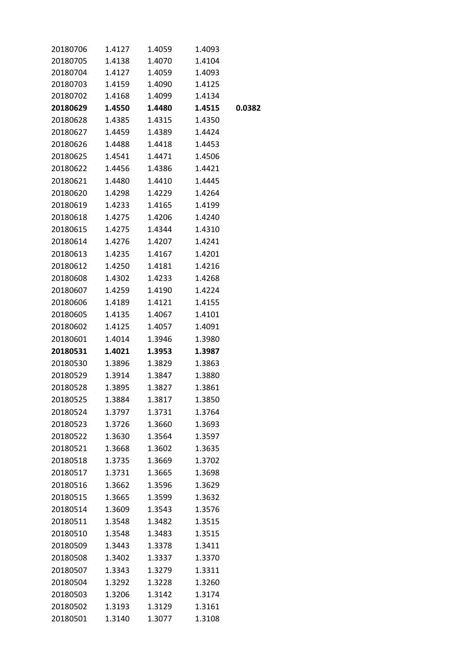| 20180706 | 1.4127 | 1.4059 | 1.4093 |        |
|----------|--------|--------|--------|--------|
| 20180705 | 1.4138 | 1.4070 | 1.4104 |        |
| 20180704 | 1.4127 | 1.4059 | 1.4093 |        |
| 20180703 | 1.4159 | 1.4090 | 1.4125 |        |
| 20180702 | 1.4168 | 1.4099 | 1.4134 |        |
| 20180629 | 1.4550 | 1.4480 | 1.4515 | 0.0382 |
| 20180628 | 1.4385 | 1.4315 | 1.4350 |        |
| 20180627 | 1.4459 | 1.4389 | 1.4424 |        |
| 20180626 | 1.4488 | 1.4418 | 1.4453 |        |
| 20180625 | 1.4541 | 1.4471 | 1.4506 |        |
| 20180622 | 1.4456 | 1.4386 | 1.4421 |        |
| 20180621 | 1.4480 | 1.4410 | 1.4445 |        |
| 20180620 | 1.4298 | 1.4229 | 1.4264 |        |
| 20180619 | 1.4233 | 1.4165 | 1.4199 |        |
| 20180618 | 1.4275 | 1.4206 | 1.4240 |        |
| 20180615 | 1.4275 | 1.4344 | 1.4310 |        |
| 20180614 | 1.4276 | 1.4207 | 1.4241 |        |
| 20180613 | 1.4235 | 1.4167 | 1.4201 |        |
| 20180612 | 1.4250 | 1.4181 | 1.4216 |        |
| 20180608 | 1.4302 | 1.4233 | 1.4268 |        |
| 20180607 | 1.4259 | 1.4190 | 1.4224 |        |
| 20180606 | 1.4189 | 1.4121 | 1.4155 |        |
| 20180605 | 1.4135 | 1.4067 | 1.4101 |        |
| 20180602 | 1.4125 | 1.4057 | 1.4091 |        |
| 20180601 | 1.4014 | 1.3946 | 1.3980 |        |
| 20180531 | 1.4021 | 1.3953 | 1.3987 |        |
| 20180530 | 1.3896 | 1.3829 | 1.3863 |        |
| 20180529 | 1.3914 | 1.3847 | 1.3880 |        |
| 20180528 | 1.3895 | 1.3827 | 1.3861 |        |
| 20180525 | 1.3884 | 1.3817 | 1.3850 |        |
| 20180524 | 1.3797 | 1.3731 | 1.3764 |        |
| 20180523 | 1.3726 | 1.3660 | 1.3693 |        |
| 20180522 | 1.3630 | 1.3564 | 1.3597 |        |
| 20180521 | 1.3668 | 1.3602 | 1.3635 |        |
| 20180518 | 1.3735 | 1.3669 | 1.3702 |        |
| 20180517 | 1.3731 | 1.3665 | 1.3698 |        |
| 20180516 | 1.3662 | 1.3596 | 1.3629 |        |
| 20180515 | 1.3665 | 1.3599 | 1.3632 |        |
| 20180514 | 1.3609 | 1.3543 | 1.3576 |        |
| 20180511 | 1.3548 | 1.3482 | 1.3515 |        |
| 20180510 | 1.3548 | 1.3483 | 1.3515 |        |
| 20180509 | 1.3443 | 1.3378 | 1.3411 |        |
| 20180508 | 1.3402 | 1.3337 | 1.3370 |        |
| 20180507 | 1.3343 | 1.3279 | 1.3311 |        |
| 20180504 | 1.3292 | 1.3228 | 1.3260 |        |
| 20180503 | 1.3206 | 1.3142 | 1.3174 |        |
| 20180502 | 1.3193 | 1.3129 | 1.3161 |        |
| 20180501 | 1.3140 | 1.3077 | 1.3108 |        |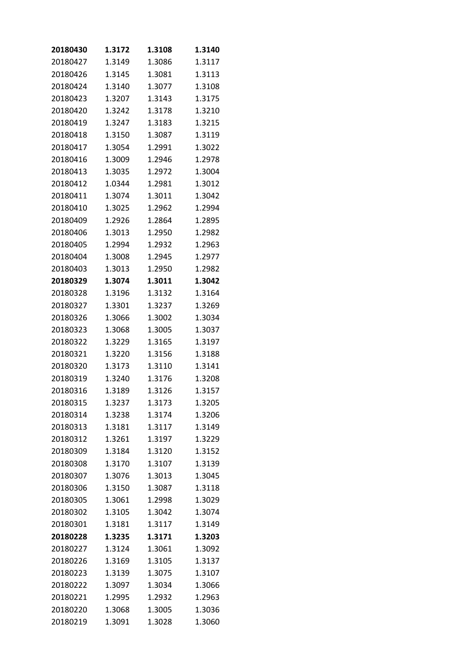| 20180430 | 1.3172 | 1.3108 | 1.3140 |
|----------|--------|--------|--------|
| 20180427 | 1.3149 | 1.3086 | 1.3117 |
| 20180426 | 1.3145 | 1.3081 | 1.3113 |
| 20180424 | 1.3140 | 1.3077 | 1.3108 |
| 20180423 | 1.3207 | 1.3143 | 1.3175 |
| 20180420 | 1.3242 | 1.3178 | 1.3210 |
| 20180419 | 1.3247 | 1.3183 | 1.3215 |
| 20180418 | 1.3150 | 1.3087 | 1.3119 |
| 20180417 | 1.3054 | 1.2991 | 1.3022 |
| 20180416 | 1.3009 | 1.2946 | 1.2978 |
| 20180413 | 1.3035 | 1.2972 | 1.3004 |
| 20180412 | 1.0344 | 1.2981 | 1.3012 |
| 20180411 | 1.3074 | 1.3011 | 1.3042 |
| 20180410 | 1.3025 | 1.2962 | 1.2994 |
| 20180409 | 1.2926 | 1.2864 | 1.2895 |
| 20180406 | 1.3013 | 1.2950 | 1.2982 |
| 20180405 | 1.2994 | 1.2932 | 1.2963 |
| 20180404 | 1.3008 | 1.2945 | 1.2977 |
| 20180403 | 1.3013 | 1.2950 | 1.2982 |
| 20180329 | 1.3074 | 1.3011 | 1.3042 |
| 20180328 | 1.3196 | 1.3132 | 1.3164 |
| 20180327 | 1.3301 | 1.3237 | 1.3269 |
| 20180326 | 1.3066 | 1.3002 | 1.3034 |
| 20180323 | 1.3068 | 1.3005 | 1.3037 |
| 20180322 | 1.3229 | 1.3165 | 1.3197 |
| 20180321 | 1.3220 | 1.3156 | 1.3188 |
| 20180320 | 1.3173 | 1.3110 | 1.3141 |
| 20180319 | 1.3240 | 1.3176 | 1.3208 |
| 20180316 | 1.3189 | 1.3126 | 1.3157 |
| 20180315 | 1.3237 | 1.3173 | 1.3205 |
| 20180314 | 1.3238 | 1.3174 | 1.3206 |
| 20180313 | 1.3181 | 1.3117 | 1.3149 |
| 20180312 | 1.3261 | 1.3197 | 1.3229 |
| 20180309 | 1.3184 | 1.3120 | 1.3152 |
| 20180308 | 1.3170 | 1.3107 | 1.3139 |
| 20180307 | 1.3076 | 1.3013 | 1.3045 |
| 20180306 | 1.3150 | 1.3087 | 1.3118 |
| 20180305 | 1.3061 | 1.2998 | 1.3029 |
| 20180302 | 1.3105 | 1.3042 | 1.3074 |
| 20180301 | 1.3181 | 1.3117 | 1.3149 |
| 20180228 | 1.3235 | 1.3171 | 1.3203 |
| 20180227 | 1.3124 | 1.3061 | 1.3092 |
| 20180226 | 1.3169 | 1.3105 | 1.3137 |
| 20180223 | 1.3139 | 1.3075 | 1.3107 |
| 20180222 | 1.3097 | 1.3034 | 1.3066 |
| 20180221 | 1.2995 | 1.2932 | 1.2963 |
| 20180220 | 1.3068 | 1.3005 | 1.3036 |
| 20180219 | 1.3091 | 1.3028 | 1.3060 |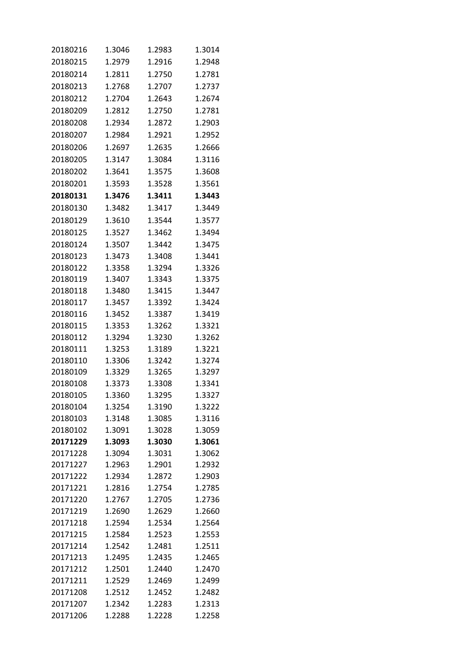| 20180216             | 1.3046           | 1.2983           | 1.3014           |
|----------------------|------------------|------------------|------------------|
| 20180215             | 1.2979           | 1.2916           | 1.2948           |
| 20180214             | 1.2811           | 1.2750           | 1.2781           |
| 20180213             | 1.2768           | 1.2707           | 1.2737           |
| 20180212             | 1.2704           | 1.2643           | 1.2674           |
| 20180209             | 1.2812           | 1.2750           | 1.2781           |
| 20180208             | 1.2934           | 1.2872           | 1.2903           |
| 20180207             | 1.2984           | 1.2921           | 1.2952           |
| 20180206             | 1.2697           | 1.2635           | 1.2666           |
| 20180205             | 1.3147           | 1.3084           | 1.3116           |
| 20180202             | 1.3641           | 1.3575           | 1.3608           |
| 20180201             | 1.3593           | 1.3528           | 1.3561           |
| 20180131             | 1.3476           | 1.3411           | 1.3443           |
|                      |                  |                  |                  |
| 20180130             | 1.3482           | 1.3417           | 1.3449           |
| 20180129             | 1.3610           | 1.3544           | 1.3577           |
| 20180125             | 1.3527           | 1.3462           | 1.3494           |
| 20180124             | 1.3507           | 1.3442           | 1.3475           |
| 20180123             | 1.3473           | 1.3408           | 1.3441           |
| 20180122             | 1.3358           | 1.3294           | 1.3326           |
| 20180119             | 1.3407           | 1.3343           | 1.3375           |
| 20180118             | 1.3480           | 1.3415           | 1.3447           |
| 20180117             | 1.3457           | 1.3392           | 1.3424           |
| 20180116             | 1.3452           | 1.3387           | 1.3419           |
| 20180115             | 1.3353           | 1.3262           | 1.3321           |
| 20180112             | 1.3294           | 1.3230           | 1.3262           |
| 20180111             | 1.3253           | 1.3189           | 1.3221           |
| 20180110             | 1.3306           | 1.3242           | 1.3274           |
| 20180109             | 1.3329           | 1.3265           | 1.3297           |
| 20180108             | 1.3373           | 1.3308           | 1.3341           |
| 20180105             | 1.3360           | 1.3295           | 1.3327           |
| 20180104             | 1.3254           | 1.3190           | 1.3222           |
| 20180103             | 1.3148           | 1.3085           | 1.3116           |
| 20180102             | 1.3091           | 1.3028           | 1.3059           |
| 20171229             | 1.3093           | 1.3030           | 1.3061           |
| 20171228             | 1.3094           | 1.3031           | 1.3062           |
| 20171227             | 1.2963           | 1.2901           | 1.2932           |
| 20171222             | 1.2934           | 1.2872           | 1.2903           |
| 20171221             | 1.2816           | 1.2754           | 1.2785           |
| 20171220             | 1.2767           | 1.2705           | 1.2736           |
| 20171219             | 1.2690           | 1.2629           | 1.2660           |
| 20171218             | 1.2594           | 1.2534           | 1.2564           |
| 20171215             | 1.2584           | 1.2523           | 1.2553           |
| 20171214             | 1.2542<br>1.2495 | 1.2481           | 1.2511<br>1.2465 |
| 20171213             |                  | 1.2435           |                  |
| 20171212             | 1.2501           | 1.2440           | 1.2470           |
| 20171211             | 1.2529           | 1.2469           | 1.2499           |
| 20171208<br>20171207 | 1.2512<br>1.2342 | 1.2452<br>1.2283 | 1.2482<br>1.2313 |
| 20171206             | 1.2288           | 1.2228           | 1.2258           |
|                      |                  |                  |                  |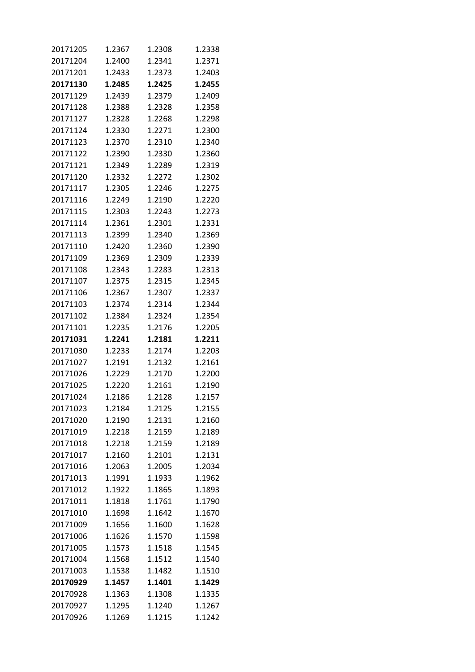| 20171205 | 1.2367 | 1.2308 | 1.2338 |
|----------|--------|--------|--------|
| 20171204 | 1.2400 | 1.2341 | 1.2371 |
| 20171201 | 1.2433 | 1.2373 | 1.2403 |
| 20171130 | 1.2485 | 1.2425 | 1.2455 |
| 20171129 | 1.2439 | 1.2379 | 1.2409 |
| 20171128 | 1.2388 | 1.2328 | 1.2358 |
| 20171127 | 1.2328 | 1.2268 | 1.2298 |
| 20171124 | 1.2330 | 1.2271 | 1.2300 |
| 20171123 | 1.2370 | 1.2310 | 1.2340 |
| 20171122 | 1.2390 | 1.2330 | 1.2360 |
| 20171121 | 1.2349 | 1.2289 | 1.2319 |
| 20171120 | 1.2332 | 1.2272 | 1.2302 |
| 20171117 | 1.2305 | 1.2246 | 1.2275 |
| 20171116 | 1.2249 | 1.2190 | 1.2220 |
| 20171115 | 1.2303 | 1.2243 | 1.2273 |
| 20171114 | 1.2361 | 1.2301 | 1.2331 |
| 20171113 | 1.2399 | 1.2340 | 1.2369 |
| 20171110 | 1.2420 | 1.2360 | 1.2390 |
| 20171109 | 1.2369 | 1.2309 | 1.2339 |
| 20171108 | 1.2343 | 1.2283 | 1.2313 |
| 20171107 | 1.2375 | 1.2315 | 1.2345 |
| 20171106 | 1.2367 | 1.2307 | 1.2337 |
| 20171103 | 1.2374 | 1.2314 | 1.2344 |
| 20171102 | 1.2384 | 1.2324 | 1.2354 |
| 20171101 | 1.2235 | 1.2176 | 1.2205 |
| 20171031 | 1.2241 | 1.2181 | 1.2211 |
| 20171030 | 1.2233 | 1.2174 | 1.2203 |
| 20171027 | 1.2191 | 1.2132 | 1.2161 |
| 20171026 | 1.2229 | 1.2170 | 1.2200 |
| 20171025 | 1.2220 | 1.2161 | 1.2190 |
| 20171024 | 1.2186 | 1.2128 | 1.2157 |
| 20171023 | 1.2184 | 1.2125 | 1.2155 |
| 20171020 | 1.2190 | 1.2131 | 1.2160 |
| 20171019 | 1.2218 | 1.2159 | 1.2189 |
| 20171018 | 1.2218 | 1.2159 | 1.2189 |
| 20171017 | 1.2160 | 1.2101 | 1.2131 |
| 20171016 | 1.2063 | 1.2005 | 1.2034 |
| 20171013 | 1.1991 | 1.1933 | 1.1962 |
| 20171012 | 1.1922 | 1.1865 | 1.1893 |
| 20171011 | 1.1818 | 1.1761 | 1.1790 |
| 20171010 | 1.1698 | 1.1642 | 1.1670 |
| 20171009 | 1.1656 | 1.1600 | 1.1628 |
| 20171006 | 1.1626 | 1.1570 | 1.1598 |
| 20171005 | 1.1573 | 1.1518 | 1.1545 |
| 20171004 | 1.1568 | 1.1512 | 1.1540 |
| 20171003 | 1.1538 | 1.1482 | 1.1510 |
| 20170929 | 1.1457 | 1.1401 | 1.1429 |
| 20170928 | 1.1363 | 1.1308 | 1.1335 |
| 20170927 | 1.1295 | 1.1240 | 1.1267 |
| 20170926 | 1.1269 | 1.1215 | 1.1242 |
|          |        |        |        |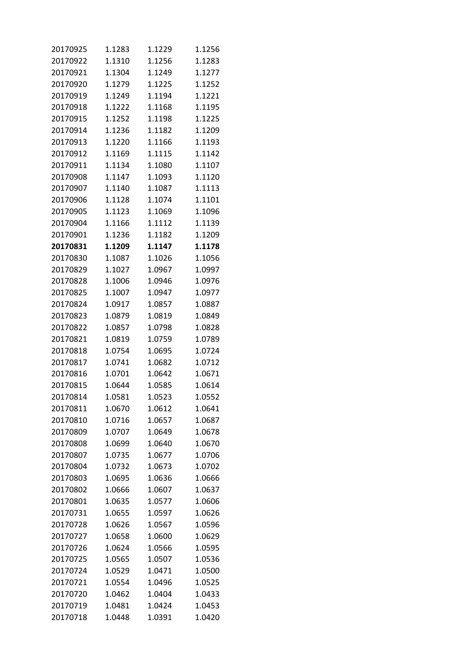| 20170925 | 1.1283 | 1.1229 | 1.1256 |
|----------|--------|--------|--------|
| 20170922 | 1.1310 | 1.1256 | 1.1283 |
| 20170921 | 1.1304 | 1.1249 | 1.1277 |
| 20170920 | 1.1279 | 1.1225 | 1.1252 |
| 20170919 | 1.1249 | 1.1194 | 1.1221 |
| 20170918 | 1.1222 | 1.1168 | 1.1195 |
| 20170915 | 1.1252 | 1.1198 | 1.1225 |
| 20170914 | 1.1236 | 1.1182 | 1.1209 |
| 20170913 | 1.1220 | 1.1166 | 1.1193 |
| 20170912 | 1.1169 | 1.1115 | 1.1142 |
| 20170911 | 1.1134 | 1.1080 | 1.1107 |
| 20170908 | 1.1147 | 1.1093 | 1.1120 |
| 20170907 | 1.1140 | 1.1087 | 1.1113 |
| 20170906 | 1.1128 | 1.1074 | 1.1101 |
| 20170905 | 1.1123 | 1.1069 | 1.1096 |
| 20170904 | 1.1166 | 1.1112 | 1.1139 |
| 20170901 | 1.1236 | 1.1182 | 1.1209 |
| 20170831 | 1.1209 | 1.1147 | 1.1178 |
| 20170830 | 1.1087 | 1.1026 | 1.1056 |
| 20170829 | 1.1027 | 1.0967 | 1.0997 |
| 20170828 | 1.1006 | 1.0946 | 1.0976 |
| 20170825 | 1.1007 | 1.0947 | 1.0977 |
| 20170824 | 1.0917 | 1.0857 | 1.0887 |
| 20170823 | 1.0879 | 1.0819 | 1.0849 |
| 20170822 | 1.0857 | 1.0798 | 1.0828 |
| 20170821 | 1.0819 | 1.0759 | 1.0789 |
| 20170818 | 1.0754 | 1.0695 | 1.0724 |
| 20170817 | 1.0741 | 1.0682 | 1.0712 |
| 20170816 | 1.0701 | 1.0642 | 1.0671 |
|          |        |        |        |
| 20170815 | 1.0644 | 1.0585 | 1.0614 |
| 20170814 | 1.0581 | 1.0523 | 1.0552 |
| 20170811 | 1.0670 | 1.0612 | 1.0641 |
| 20170810 | 1.0716 | 1.0657 | 1.0687 |
| 20170809 | 1.0707 | 1.0649 | 1.0678 |
| 20170808 | 1.0699 | 1.0640 | 1.0670 |
| 20170807 | 1.0735 | 1.0677 | 1.0706 |
| 20170804 | 1.0732 | 1.0673 | 1.0702 |
| 20170803 | 1.0695 | 1.0636 | 1.0666 |
| 20170802 | 1.0666 | 1.0607 | 1.0637 |
| 20170801 | 1.0635 | 1.0577 | 1.0606 |
| 20170731 | 1.0655 | 1.0597 | 1.0626 |
| 20170728 | 1.0626 | 1.0567 | 1.0596 |
| 20170727 | 1.0658 | 1.0600 | 1.0629 |
| 20170726 | 1.0624 | 1.0566 | 1.0595 |
| 20170725 | 1.0565 | 1.0507 | 1.0536 |
| 20170724 | 1.0529 | 1.0471 | 1.0500 |
| 20170721 | 1.0554 | 1.0496 | 1.0525 |
| 20170720 | 1.0462 | 1.0404 | 1.0433 |
| 20170719 | 1.0481 | 1.0424 | 1.0453 |
| 20170718 | 1.0448 | 1.0391 | 1.0420 |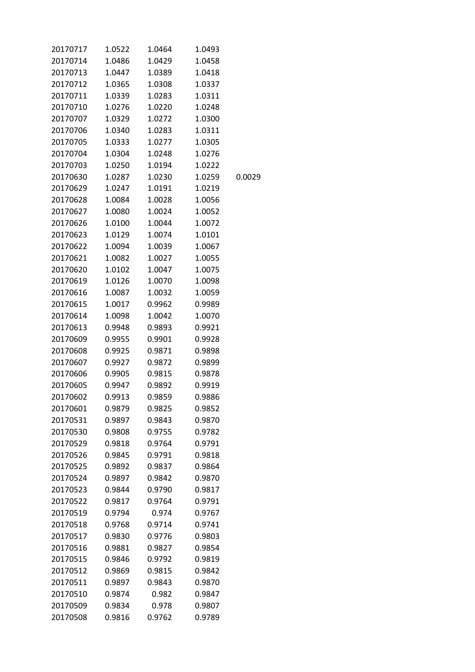| 20170717 | 1.0522 | 1.0464 | 1.0493 |        |
|----------|--------|--------|--------|--------|
| 20170714 | 1.0486 | 1.0429 | 1.0458 |        |
| 20170713 | 1.0447 | 1.0389 | 1.0418 |        |
| 20170712 | 1.0365 | 1.0308 | 1.0337 |        |
| 20170711 | 1.0339 | 1.0283 | 1.0311 |        |
| 20170710 | 1.0276 | 1.0220 | 1.0248 |        |
| 20170707 | 1.0329 | 1.0272 | 1.0300 |        |
| 20170706 | 1.0340 | 1.0283 | 1.0311 |        |
| 20170705 | 1.0333 | 1.0277 | 1.0305 |        |
| 20170704 | 1.0304 | 1.0248 | 1.0276 |        |
| 20170703 | 1.0250 | 1.0194 | 1.0222 |        |
| 20170630 | 1.0287 | 1.0230 | 1.0259 | 0.0029 |
| 20170629 | 1.0247 | 1.0191 | 1.0219 |        |
| 20170628 | 1.0084 | 1.0028 | 1.0056 |        |
| 20170627 | 1.0080 | 1.0024 | 1.0052 |        |
| 20170626 | 1.0100 | 1.0044 | 1.0072 |        |
| 20170623 | 1.0129 | 1.0074 | 1.0101 |        |
| 20170622 | 1.0094 | 1.0039 | 1.0067 |        |
| 20170621 | 1.0082 | 1.0027 | 1.0055 |        |
| 20170620 | 1.0102 | 1.0047 | 1.0075 |        |
| 20170619 | 1.0126 | 1.0070 | 1.0098 |        |
| 20170616 | 1.0087 | 1.0032 | 1.0059 |        |
| 20170615 | 1.0017 | 0.9962 | 0.9989 |        |
| 20170614 | 1.0098 | 1.0042 | 1.0070 |        |
| 20170613 | 0.9948 | 0.9893 | 0.9921 |        |
| 20170609 | 0.9955 | 0.9901 | 0.9928 |        |
| 20170608 | 0.9925 | 0.9871 | 0.9898 |        |
| 20170607 | 0.9927 | 0.9872 | 0.9899 |        |
| 20170606 | 0.9905 | 0.9815 | 0.9878 |        |
| 20170605 | 0.9947 | 0.9892 | 0.9919 |        |
| 20170602 | 0.9913 | 0.9859 | 0.9886 |        |
| 20170601 | 0.9879 | 0.9825 | 0.9852 |        |
| 20170531 | 0.9897 | 0.9843 | 0.9870 |        |
| 20170530 | 0.9808 | 0.9755 | 0.9782 |        |
| 20170529 | 0.9818 | 0.9764 | 0.9791 |        |
| 20170526 | 0.9845 | 0.9791 | 0.9818 |        |
| 20170525 | 0.9892 | 0.9837 | 0.9864 |        |
| 20170524 | 0.9897 | 0.9842 | 0.9870 |        |
| 20170523 | 0.9844 | 0.9790 | 0.9817 |        |
| 20170522 | 0.9817 | 0.9764 | 0.9791 |        |
| 20170519 | 0.9794 | 0.974  | 0.9767 |        |
| 20170518 | 0.9768 | 0.9714 | 0.9741 |        |
| 20170517 | 0.9830 | 0.9776 | 0.9803 |        |
| 20170516 | 0.9881 | 0.9827 | 0.9854 |        |
| 20170515 | 0.9846 | 0.9792 | 0.9819 |        |
| 20170512 | 0.9869 | 0.9815 | 0.9842 |        |
| 20170511 | 0.9897 | 0.9843 | 0.9870 |        |
| 20170510 | 0.9874 | 0.982  | 0.9847 |        |
| 20170509 | 0.9834 | 0.978  | 0.9807 |        |
| 20170508 | 0.9816 | 0.9762 | 0.9789 |        |
|          |        |        |        |        |